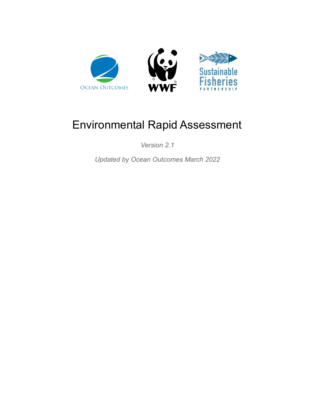

*Version 2.1*

*Updated by Ocean Outcomes March 2022*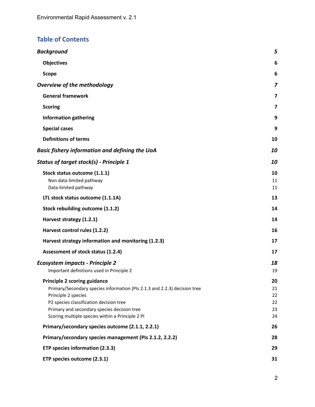### **Table of Contents**

| <b>Background</b>                                                                                                                                                                                                                                                                     | 5                                |
|---------------------------------------------------------------------------------------------------------------------------------------------------------------------------------------------------------------------------------------------------------------------------------------|----------------------------------|
| <b>Objectives</b>                                                                                                                                                                                                                                                                     | 6                                |
| <b>Scope</b>                                                                                                                                                                                                                                                                          | 6                                |
| <b>Overview of the methodology</b>                                                                                                                                                                                                                                                    | 7                                |
| <b>General framework</b>                                                                                                                                                                                                                                                              | $\overline{\mathbf{z}}$          |
| <b>Scoring</b>                                                                                                                                                                                                                                                                        | 7                                |
| <b>Information gathering</b>                                                                                                                                                                                                                                                          | 9                                |
| <b>Special cases</b>                                                                                                                                                                                                                                                                  | 9                                |
| <b>Definitions of terms</b>                                                                                                                                                                                                                                                           | 10                               |
| <b>Basic fishery information and defining the UoA</b>                                                                                                                                                                                                                                 | 10                               |
| <b>Status of target stock(s) - Principle 1</b>                                                                                                                                                                                                                                        | 10                               |
| Stock status outcome (1.1.1)<br>Non data-limited pathway<br>Data-limited pathway                                                                                                                                                                                                      | 10<br>11<br>11                   |
| LTL stock status outcome (1.1.1A)                                                                                                                                                                                                                                                     | 13                               |
| Stock rebuilding outcome (1.1.2)                                                                                                                                                                                                                                                      | 14                               |
| Harvest strategy (1.2.1)                                                                                                                                                                                                                                                              | 14                               |
| Harvest control rules (1.2.2)                                                                                                                                                                                                                                                         | 16                               |
| Harvest strategy information and monitoring (1.2.3)                                                                                                                                                                                                                                   | 17                               |
| Assessment of stock status (1.2.4)                                                                                                                                                                                                                                                    | 17                               |
| <b>Ecosystem impacts - Principle 2</b><br>Important definitions used in Principle 2                                                                                                                                                                                                   | 18<br>19                         |
| <b>Principle 2 scoring guidance</b><br>Primary/Secondary species information (PIs 2.1.3 and 2.2.3) decision tree<br>Principle 2 species<br>P2 species classification decision tree<br>Primary and secondary species decision tree<br>Scoring multiple species within a Principle 2 PI | 20<br>21<br>22<br>22<br>23<br>24 |
| Primary/secondary species outcome (2.1.1, 2.2.1)                                                                                                                                                                                                                                      | 26                               |
| Primary/secondary species management (PIs 2.1.2, 2.2.2)                                                                                                                                                                                                                               | 28                               |
| ETP species information (2.3.3)                                                                                                                                                                                                                                                       | 29                               |
| ETP species outcome (2.3.1)                                                                                                                                                                                                                                                           | 31                               |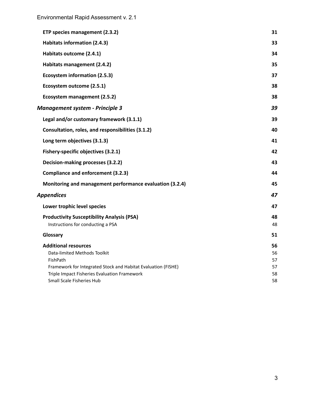| ETP species management (2.3.2)                                | 31 |
|---------------------------------------------------------------|----|
| Habitats information (2.4.3)                                  | 33 |
| Habitats outcome (2.4.1)                                      | 34 |
| Habitats management (2.4.2)                                   | 35 |
| <b>Ecosystem information (2.5.3)</b>                          | 37 |
| Ecosystem outcome (2.5.1)                                     | 38 |
| Ecosystem management (2.5.2)                                  | 38 |
| <b>Management system - Principle 3</b>                        | 39 |
| Legal and/or customary framework (3.1.1)                      | 39 |
| Consultation, roles, and responsibilities (3.1.2)             | 40 |
| Long term objectives (3.1.3)                                  | 41 |
| Fishery-specific objectives (3.2.1)                           | 42 |
| Decision-making processes (3.2.2)                             | 43 |
| <b>Compliance and enforcement (3.2.3)</b>                     | 44 |
| Monitoring and management performance evaluation (3.2.4)      | 45 |
| <b>Appendices</b>                                             | 47 |
| Lower trophic level species                                   | 47 |
| <b>Productivity Susceptibility Analysis (PSA)</b>             | 48 |
| Instructions for conducting a PSA                             | 48 |
| Glossary                                                      | 51 |
| <b>Additional resources</b>                                   | 56 |
| Data-limited Methods Toolkit                                  | 56 |
| FishPath                                                      | 57 |
| Framework for Integrated Stock and Habitat Evaluation (FISHE) | 57 |
| Triple Impact Fisheries Evaluation Framework                  | 58 |
| Small Scale Fisheries Hub                                     | 58 |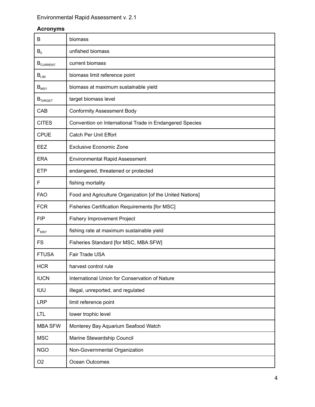### **Acronyms**

| B                   | biomass                                                   |
|---------------------|-----------------------------------------------------------|
| $B_0$               | unfished biomass                                          |
| <b>B</b> CURRENT    | current biomass                                           |
| $B_{LIM}$           | biomass limit reference point                             |
| $B_{MSY}$           | biomass at maximum sustainable yield                      |
| B <sub>TARGET</sub> | target biomass level                                      |
| CAB                 | <b>Conformity Assessment Body</b>                         |
| <b>CITES</b>        | Convention on International Trade in Endangered Species   |
| <b>CPUE</b>         | <b>Catch Per Unit Effort</b>                              |
| <b>EEZ</b>          | <b>Exclusive Economic Zone</b>                            |
| <b>ERA</b>          | Environmental Rapid Assessment                            |
| <b>ETP</b>          | endangered, threatened or protected                       |
| F                   | fishing mortality                                         |
| <b>FAO</b>          | Food and Agriculture Organization [of the United Nations] |
| <b>FCR</b>          | Fisheries Certification Requirements [for MSC]            |
| <b>FIP</b>          | <b>Fishery Improvement Project</b>                        |
| $F_{MSY}$           | fishing rate at maximum sustainable yield                 |
| <b>FS</b>           | Fisheries Standard [for MSC, MBA SFW]                     |
| <b>FTUSA</b>        | Fair Trade USA                                            |
| <b>HCR</b>          | harvest control rule                                      |
| <b>IUCN</b>         | International Union for Conservation of Nature            |
| <b>IUU</b>          | illegal, unreported, and regulated                        |
| <b>LRP</b>          | limit reference point                                     |
| <b>LTL</b>          | lower trophic level                                       |
| <b>MBA SFW</b>      | Monterey Bay Aquarium Seafood Watch                       |
| <b>MSC</b>          | Marine Stewardship Council                                |
| <b>NGO</b>          | Non-Governmental Organization                             |
| O <sub>2</sub>      | Ocean Outcomes                                            |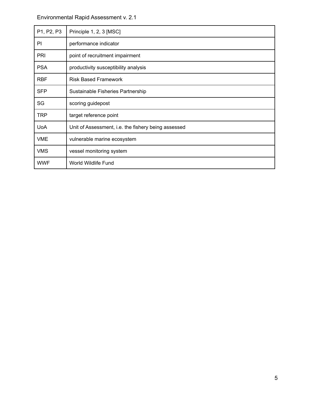| P1, P2, P3 | Principle 1, 2, 3 [MSC]                             |
|------------|-----------------------------------------------------|
| PI         | performance indicator                               |
| <b>PRI</b> | point of recruitment impairment                     |
| <b>PSA</b> | productivity susceptibility analysis                |
| <b>RBF</b> | <b>Risk Based Framework</b>                         |
| <b>SFP</b> | Sustainable Fisheries Partnership                   |
| SG         | scoring guidepost                                   |
| <b>TRP</b> | target reference point                              |
| <b>UoA</b> | Unit of Assessment, i.e. the fishery being assessed |
| <b>VME</b> | vulnerable marine ecosystem                         |
| <b>VMS</b> | vessel monitoring system                            |
| <b>WWF</b> | World Wildlife Fund                                 |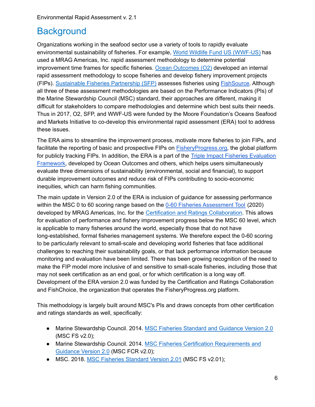# <span id="page-5-0"></span>**Background**

Organizations working in the seafood sector use a variety of tools to rapidly evaluate environmental sustainability of fisheries. For example, World Wildlife Fund US [\(WWF-US\)](https://www.worldwildlife.org/) has used a MRAG Americas, Inc. rapid assessment methodology to determine potential improvement time frames for specific fisheries. Ocean [Outcomes](http://www.oceanoutcomes.org/) (O2) developed an internal rapid assessment methodology to scope fisheries and develop fishery improvement projects (FIPs). [Sustainable](https://www.sustainablefish.org/) Fisheries Partnership (SFP) assesses fisheries using [FishSource.](https://www.fishsource.org/) Although all three of these assessment methodologies are based on the Performance Indicators (PIs) of the Marine Stewardship Council (MSC) standard, their approaches are different, making it difficult for stakeholders to compare methodologies and determine which best suits their needs. Thus in 2017, O2, SFP, and WWF-US were funded by the Moore Foundation's Oceans Seafood and Markets Initiative to co-develop this environmental rapid assessment (ERA) tool to address these issues.

The ERA aims to streamline the improvement process, motivate more fisheries to join FIPs, and facilitate the reporting of basic and prospective FIPs on **FisheryProgress.org**, the global platform for publicly tracking FIPs. In addition, the ERA is a part of the Triple Impact Fisheries [Evaluation](https://www.oceanoutcomes.org/what-we-do/triple-bottom-line-seafood/triple-impact-improvement/) [Framework,](https://www.oceanoutcomes.org/what-we-do/triple-bottom-line-seafood/triple-impact-improvement/) developed by Ocean Outcomes and others, which helps users simultaneously evaluate three dimensions of sustainability (environmental, social and financial), to support durable improvement outcomes and reduce risk of FIPs contributing to socio-economic inequities, which can harm fishing communities.

The main update in Version 2.0 of the ERA is inclusion of guidance for assessing performance within the MSC 0 to 60 scoring range based on the 0-60 Fisheries [Assessment](https://www.fisheryprogress.org/sites/default/files/indicators-documents/MSC_0to60_l.pdf) Tool (2020) developed by MRAG Americas, Inc. for the Certification and Ratings [Collaboration.](https://certificationandratings.org/) This allows for evaluation of performance and fishery improvement progress below the MSC 60 level, which is applicable to many fisheries around the world, especially those that do not have long-established, formal fisheries management systems. We therefore expect the 0-60 scoring to be particularly relevant to small-scale and developing world fisheries that face additional challenges to reaching their sustainability goals, or that lack performance information because monitoring and evaluation have been limited. There has been growing recognition of the need to make the FIP model more inclusive of and sensitive to small-scale fisheries, including those that may not seek certification as an end goal, or for which certification is a long way off. Development of the ERA version 2.0 was funded by the Certification and Ratings Collaboration and FishChoice, the organization that operates the FisheryProgress.org platform.

This methodology is largely built around MSC's PIs and draws concepts from other certification and ratings standards as well, specifically:

- Marine Stewardship Council. 2014. MSC Fisheries Standard and [Guidance](https://www.msc.org/documents/scheme-documents/fisheries-certification-scheme-documents/fisheries-standard-version-2.0) Version 2.0 (MSC FS v2.0);
- Marine Stewardship Council. 2014. MSC Fisheries Certification [Requirements](https://www.msc.org/docs/default-source/default-document-library/for-business/program-documents/fisheries-program-documents/msc_fisheries_certification_requirements_and_guidance_v2-0.pdf) and [Guidance](https://www.msc.org/docs/default-source/default-document-library/for-business/program-documents/fisheries-program-documents/msc_fisheries_certification_requirements_and_guidance_v2-0.pdf) Version 2.0 (MSC FCR v2.0);
- MSC. 2018. MSC Fisheries [Standard](https://www.msc.org/docs/default-source/default-document-library/for-business/program-documents/fisheries-program-documents/msc-fisheries-standard-v2-01.pdf?sfvrsn=8ecb3272_9) Version 2.01 (MSC FS v2.01);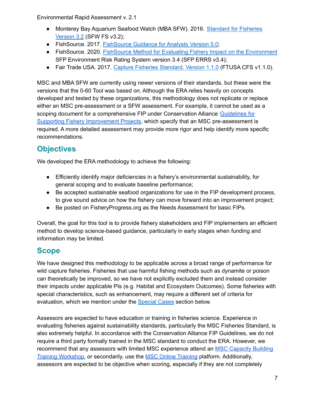- Monterey Bay Aquarium Seafood Watch (MBA SFW). 2016. [Standard](https://www.seafoodwatch.org/recommendations/our-standards/standard-for-fisheries) for Fisheries **[Version](https://www.seafoodwatch.org/recommendations/our-standards/standard-for-fisheries) 3.2 (SFW FS v3.2);**
- FishSource. 2017. [FishSource](https://docs.google.com/document/d/1Rw7_S9Hx0J_CLauTe7s0I21XXMPCv2C8GxwcBOiXfh8/edit?usp=sharing) Guidance for Analysts Version 5.0;
- FishSource. 2020. FishSource Method for Evaluating Fishery Impact on the [Environment](https://s3.amazonaws.com/assets.fishsource.org/indices_overview.pdf) SFP Environment Risk Rating System version 3.4 (SFP ERRS v3.4);
- Fair Trade USA. 2017. Capture Fisheries [Standard.](https://www.fairtradecertified.org/business/standards/documents/capture-fisheries-standard-110) Version 1.1.0 (FTUSA CFS v1.1.0).

MSC and MBA SFW are currently using newer versions of their standards, but these were the versions that the 0-60 Tool was based on. Although the ERA relies heavily on concepts developed and tested by these organizations, this methodology does not replicate or replace either an MSC pre-assessment or a SFW assessment. For example, it cannot be used as a scoping document for a comprehensive FIP under Conservation Alliance [Guidelines](https://solutionsforseafood.org/resources/fishery-improvement/) for Supporting Fishery [Improvement](https://solutionsforseafood.org/resources/fishery-improvement/) Projects, which specify that an MSC pre-assessment is required. A more detailed assessment may provide more rigor and help identify more specific recommendations.

# <span id="page-6-0"></span>**Objectives**

We developed the ERA methodology to achieve the following:

- Efficiently identify major deficiencies in a fishery's environmental sustainability, for general scoping and to evaluate baseline performance;
- Be accepted sustainable seafood organizations for use in the FIP development process, to give sound advice on how the fishery can move forward into an improvement project;
- Be posted on FisheryProgress.org as the Needs Assessment for basic FIPs.

Overall, the goal for this tool is to provide fishery stakeholders and FIP implementers an efficient method to develop science-based guidance, particularly in early stages when funding and information may be limited.

# <span id="page-6-1"></span>**Scope**

We have designed this methodology to be applicable across a broad range of performance for wild capture fisheries. Fisheries that use harmful fishing methods such as dynamite or poison can theoretically be improved, so we have not explicitly excluded them and instead consider their impacts under applicable PIs (e.g. Habitat and Ecosystem Outcomes). Some fisheries with special characteristics, such as enhancement, may require a different set of criteria for evaluation, which we mention under the [Special](#page-9-1) Cases section below.

Assessors are expected to have education or training in fisheries science. Experience in evaluating fisheries against sustainability standards, particularly the MSC Fisheries Standard, is also extremely helpful. In accordance with the Conservation Alliance FIP Guidelines, we do not require a third party formally trained in the MSC standard to conduct the ERA. However, we recommend that any assessors with limited MSC experience attend an MSC [Capacity](https://www.msc.org/for-business/fisheries/developing-world-and-small-scale-fisheries/our-capacity-building-program) Building Training [Workshop,](https://www.msc.org/for-business/fisheries/developing-world-and-small-scale-fisheries/our-capacity-building-program) or secondarily, use the MSC Online [Training](http://byglearning.co.uk/MAR-3612-LMS/Content/Login.aspx) platform. Additionally, assessors are expected to be objective when scoring, especially if they are not completely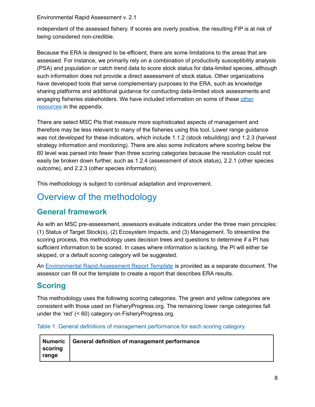independent of the assessed fishery. If scores are overly positive, the resulting FIP is at risk of being considered non-credible.

Because the ERA is designed to be efficient, there are some limitations to the areas that are assessed. For instance, we primarily rely on a combination of productivity susceptibility analysis (PSA) and population or catch trend data to score stock status for data-limited species, although such information does not provide a direct assessment of stock status. Other organizations have developed tools that serve complementary purposes to the ERA, such as knowledge sharing platforms and additional guidance for conducting data-limited stock assessments and engaging fisheries stakeholders. We have included information on some of these [other](#page-56-0) [resources](#page-56-0) in the appendix.

There are select MSC PIs that measure more sophisticated aspects of management and therefore may be less relevant to many of the fisheries using this tool. Lower range guidance was not developed for these indicators, which include 1.1.2 (stock rebuilding) and 1.2.3 (harvest strategy information and monitoring). There are also some indicators where scoring below the 60 level was parsed into fewer than three scoring categories because the resolution could not easily be broken down further, such as 1.2.4 (assessment of stock status), 2.2.1 (other species outcome), and 2.2.3 (other species information).

This methodology is subject to continual adaptation and improvement.

# <span id="page-7-0"></span>Overview of the methodology

### <span id="page-7-1"></span>**General framework**

As with an MSC pre-assessment, assessors evaluate indicators under the three main principles: (1) Status of Target Stock(s), (2) Ecosystem Impacts, and (3) Management. To streamline the scoring process, this methodology uses decision trees and questions to determine if a PI has sufficient information to be scored. In cases where information is lacking, the PI will either be skipped, or a default scoring category will be suggested.

An [Environmental](https://fisheryprogress.org/sites/default/files/Environmental%20Rapid%20Assessment%20Report%20Template%20v2.0.docx) Rapid Assessment Report Template is provided as a separate document. The assessor can fill out the template to create a report that describes ERA results.

# <span id="page-7-2"></span>**Scoring**

This methodology uses the following scoring categories. The green and yellow categories are consistent with those used on FisheryProgress.org. The remaining lower range categories fall under the 'red' (< 60) category on FisheryProgress.org.

Table 1. General definitions of management performance for each scoring category.

|             | Numeric   General definition of management performance |
|-------------|--------------------------------------------------------|
| $ $ scoring |                                                        |
| ∣ ranqe     |                                                        |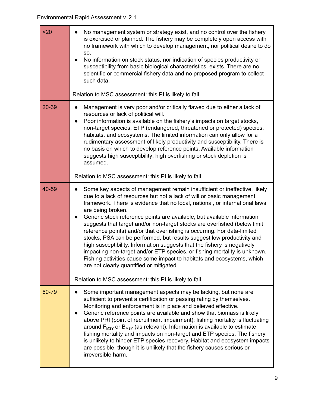| $20$  | No management system or strategy exist, and no control over the fishery<br>$\bullet$<br>is exercised or planned. The fishery may be completely open access with<br>no framework with which to develop management, nor political desire to do<br>SO.<br>No information on stock status, nor indication of species productivity or<br>$\bullet$<br>susceptibility from basic biological characteristics, exists. There are no<br>scientific or commercial fishery data and no proposed program to collect<br>such data.<br>Relation to MSC assessment: this PI is likely to fail.                                                                                                                                                                                                                                                                                               |
|-------|-------------------------------------------------------------------------------------------------------------------------------------------------------------------------------------------------------------------------------------------------------------------------------------------------------------------------------------------------------------------------------------------------------------------------------------------------------------------------------------------------------------------------------------------------------------------------------------------------------------------------------------------------------------------------------------------------------------------------------------------------------------------------------------------------------------------------------------------------------------------------------|
| 20-39 | Management is very poor and/or critically flawed due to either a lack of<br>$\bullet$<br>resources or lack of political will.<br>Poor information is available on the fishery's impacts on target stocks,<br>$\bullet$<br>non-target species, ETP (endangered, threatened or protected) species,<br>habitats, and ecosystems. The limited information can only allow for a<br>rudimentary assessment of likely productivity and susceptibility. There is<br>no basis on which to develop reference points. Available information<br>suggests high susceptibility; high overfishing or stock depletion is<br>assumed.                                                                                                                                                                                                                                                          |
|       | Relation to MSC assessment: this PI is likely to fail.                                                                                                                                                                                                                                                                                                                                                                                                                                                                                                                                                                                                                                                                                                                                                                                                                        |
| 40-59 | Some key aspects of management remain insufficient or ineffective, likely<br>$\bullet$<br>due to a lack of resources but not a lack of will or basic management<br>framework. There is evidence that no local, national, or international laws<br>are being broken.<br>Generic stock reference points are available, but available information<br>$\bullet$<br>suggests that target and/or non-target stocks are overfished (below limit<br>reference points) and/or that overfishing is occurring. For data-limited<br>stocks, PSA can be performed, but results suggest low productivity and<br>high susceptibility. Information suggests that the fishery is negatively<br>impacting non-target and/or ETP species, or fishing mortality is unknown.<br>Fishing activities cause some impact to habitats and ecosystems, which<br>are not clearly quantified or mitigated. |
|       | Relation to MSC assessment: this PI is likely to fail.                                                                                                                                                                                                                                                                                                                                                                                                                                                                                                                                                                                                                                                                                                                                                                                                                        |
| 60-79 | Some important management aspects may be lacking, but none are<br>$\bullet$<br>sufficient to prevent a certification or passing rating by themselves.<br>Monitoring and enforcement is in place and believed effective.<br>Generic reference points are available and show that biomass is likely<br>$\bullet$<br>above PRI (point of recruitment impairment); fishing mortality is fluctuating<br>around $F_{MSY}$ or $B_{MSY}$ (as relevant). Information is available to estimate<br>fishing mortality and impacts on non-target and ETP species. The fishery<br>is unlikely to hinder ETP species recovery. Habitat and ecosystem impacts<br>are possible, though it is unlikely that the fishery causes serious or<br>irreversible harm.                                                                                                                                 |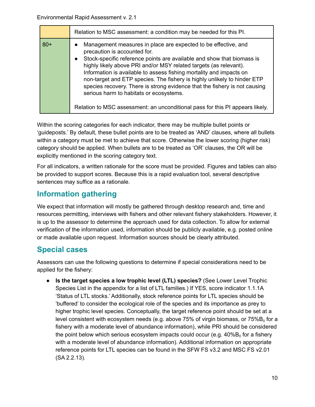|       | Relation to MSC assessment: a condition may be needed for this PI.                                                                                                                                                                                                                                                                                                                                                                                                                                                                                                                                                                   |
|-------|--------------------------------------------------------------------------------------------------------------------------------------------------------------------------------------------------------------------------------------------------------------------------------------------------------------------------------------------------------------------------------------------------------------------------------------------------------------------------------------------------------------------------------------------------------------------------------------------------------------------------------------|
| $80+$ | Management measures in place are expected to be effective, and<br>$\bullet$<br>precaution is accounted for.<br>Stock-specific reference points are available and show that biomass is<br>$\bullet$<br>highly likely above PRI and/or MSY related targets (as relevant).<br>Information is available to assess fishing mortality and impacts on<br>non-target and ETP species. The fishery is highly unlikely to hinder ETP<br>species recovery. There is strong evidence that the fishery is not causing<br>serious harm to habitats or ecosystems.<br>Relation to MSC assessment: an unconditional pass for this PI appears likely. |

Within the scoring categories for each indicator, there may be multiple bullet points or 'guideposts.' By default, these bullet points are to be treated as 'AND' clauses, where all bullets within a category must be met to achieve that score. Otherwise the lower scoring (higher risk) category should be applied. When bullets are to be treated as 'OR' clauses, the OR will be explicitly mentioned in the scoring category text.

For all indicators, a written rationale for the score must be provided. Figures and tables can also be provided to support scores. Because this is a rapid evaluation tool, several descriptive sentences may suffice as a rationale.

### <span id="page-9-0"></span>**Information gathering**

We expect that information will mostly be gathered through desktop research and, time and resources permitting, interviews with fishers and other relevant fishery stakeholders. However, it is up to the assessor to determine the approach used for data collection. To allow for external verification of the information used, information should be publicly available, e.g. posted online or made available upon request. Information sources should be clearly attributed.

### <span id="page-9-1"></span>**Special cases**

Assessors can use the following questions to determine if special considerations need to be applied for the fishery:

● **Is the target species a low trophic level (LTL) species?** (See Lower Level Trophic Species List in the appendix for a list of LTL families.) If YES, score indicator 1.1.1A 'Status of LTL stocks.' Additionally, stock reference points for LTL species should be 'buffered' to consider the ecological role of the species and its importance as prey to higher trophic level species. Conceptually, the target reference point should be set at a level consistent with ecosystem needs (e.g. above 75% of virgin biomass, or 75% $\mathsf{B}_\mathsf{0}$  for a fishery with a moderate level of abundance information), while PRI should be considered the point below which serious ecosystem impacts could occur (e.g. 40%B $_{\rm 0}$  for a fishery with a moderate level of abundance information). Additional information on appropriate reference points for LTL species can be found in the SFW FS v3.2 and MSC FS v2.01 (SA 2.2.13).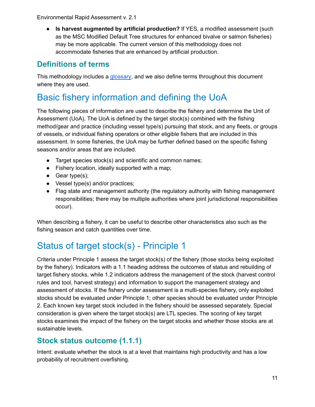● **Is harvest augmented by artificial production?** If YES, a modified assessment (such as the MSC Modified Default Tree structures for enhanced bivalve or salmon fisheries) may be more applicable. The current version of this methodology does not accommodate fisheries that are enhanced by artificial production.

### <span id="page-10-0"></span>**Definitions of terms**

This methodology includes a [glossary](#page-50-0), and we also define terms throughout this document where they are used.

# <span id="page-10-1"></span>Basic fishery information and defining the UoA

The following pieces of information are used to describe the fishery and determine the Unit of Assessment (UoA). The UoA is defined by the target stock(s) combined with the fishing method/gear and practice (including vessel type/s) pursuing that stock, and any fleets, or groups of vessels, or individual fishing operators or other eligible fishers that are included in this assessment. In some fisheries, the UoA may be further defined based on the specific fishing seasons and/or areas that are included.

- Target species stock(s) and scientific and common names;
- Fishery location, ideally supported with a map;
- $\bullet$  Gear type(s);
- Vessel type(s) and/or practices;
- Flag state and management authority (the regulatory authority with fishing management responsibilities; there may be multiple authorities where joint jurisdictional responsibilities occur).

When describing a fishery, it can be useful to describe other characteristics also such as the fishing season and catch quantities over time.

# <span id="page-10-2"></span>Status of target stock(s) - Principle 1

Criteria under Principle 1 assess the target stock(s) of the fishery (those stocks being exploited by the fishery). Indicators with a 1.1 heading address the outcomes of status and rebuilding of target fishery stocks, while 1.2 indicators address the management of the stock (harvest control rules and tool, harvest strategy) and information to support the management strategy and assessment of stocks. If the fishery under assessment is a multi-species fishery, only exploited stocks should be evaluated under Principle 1; other species should be evaluated under Principle 2. Each known key target stock included in the fishery should be assessed separately. Special consideration is given where the target stock(s) are LTL species. The scoring of key target stocks examines the impact of the fishery on the target stocks and whether those stocks are at sustainable levels.

### <span id="page-10-3"></span>**Stock status outcome (1.1.1)**

Intent: evaluate whether the stock is at a level that maintains high productivity and has a low probability of recruitment overfishing.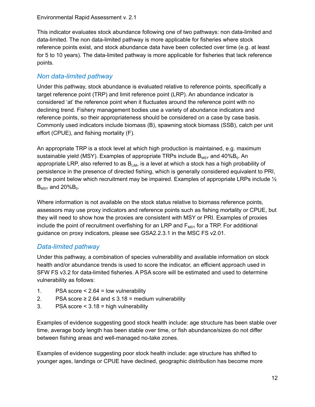This indicator evaluates stock abundance following one of two pathways: non data-limited and data-limited. The non data-limited pathway is more applicable for fisheries where stock reference points exist, and stock abundance data have been collected over time (e.g. at least for 5 to 10 years). The data-limited pathway is more applicable for fisheries that lack reference points.

### <span id="page-11-0"></span>*Non data-limited pathway*

Under this pathway, stock abundance is evaluated relative to reference points, specifically a target reference point (TRP) and limit reference point (LRP). An abundance indicator is considered 'at' the reference point when it fluctuates around the reference point with no declining trend. Fishery management bodies use a variety of abundance indicators and reference points, so their appropriateness should be considered on a case by case basis. Commonly used indicators include biomass (B), spawning stock biomass (SSB), catch per unit effort (CPUE), and fishing mortality (F).

An appropriate TRP is a stock level at which high production is maintained, e.g. maximum sustainable yield (MSY). Examples of appropriate TRPs include  $\mathsf{B}_{\textsf{MSY}}$  and 40% $\mathsf{B}_{\textsf{0}}$ . An appropriate LRP, also referred to as  $B_{LM}$ , is a level at which a stock has a high probability of persistence in the presence of directed fishing, which is generally considered equivalent to PRI, or the point below which recruitment may be impaired. Examples of appropriate LRPs include  $\frac{1}{2}$  $B_{MSY}$  and 20% $B_0$ .

Where information is not available on the stock status relative to biomass reference points, assessors may use proxy indicators and reference points such as fishing mortality or CPUE, but they will need to show how the proxies are consistent with MSY or PRI. Examples of proxies include the point of recruitment overfishing for an LRP and  $F_{MSY}$  for a TRP. For additional guidance on proxy indicators, please see GSA2.2.3.1 in the MSC FS v2.01.

### <span id="page-11-1"></span>*Data-limited pathway*

Under this pathway, a combination of species vulnerability and available information on stock health and/or abundance trends is used to score the indicator, an efficient approach used in SFW FS v3.2 for data-limited fisheries. A PSA score will be estimated and used to determine vulnerability as follows:

- 1. PSA score < 2.64 = low vulnerability
- 2. PSA score  $\geq 2.64$  and  $\leq 3.18$  = medium vulnerability
- 3. PSA score < 3.18 = high vulnerability

Examples of evidence suggesting good stock health include: age structure has been stable over time, average body length has been stable over time, or fish abundance/sizes do not differ between fishing areas and well-managed no-take zones.

Examples of evidence suggesting poor stock health include: age structure has shifted to younger ages, landings or CPUE have declined, geographic distribution has become more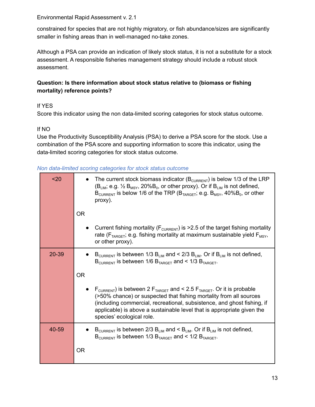constrained for species that are not highly migratory, or fish abundance/sizes are significantly smaller in fishing areas than in well-managed no-take zones.

Although a PSA can provide an indication of likely stock status, it is not a substitute for a stock assessment. A responsible fisheries management strategy should include a robust stock assessment.

#### **Question: Is there information about stock status relative to (biomass or fishing mortality) reference points?**

### If YES

Score this indicator using the non data-limited scoring categories for stock status outcome.

#### If NO

Use the Productivity Susceptibility Analysis (PSA) to derive a PSA score for the stock. Use a combination of the PSA score and supporting information to score this indicator, using the data-limited scoring categories for stock status outcome.

|  |  |  | Non data-limited scoring categories for stock status outcome |  |  |  |  |
|--|--|--|--------------------------------------------------------------|--|--|--|--|
|--|--|--|--------------------------------------------------------------|--|--|--|--|

| $20$      | The current stock biomass indicator ( $B_{\text{CURRENT}}$ ) is below 1/3 of the LRP<br>$(B_{LIM}, e.g. \frac{1}{2} B_{MSY}, 20\%B_0,$ or other proxy). Or if $B_{LIM}$ is not defined,<br>$B_{\text{CURRENT}}$ is below 1/6 of the TRP ( $B_{\text{TARGE}}$ ; e.g. $B_{\text{MSY}}$ , 40% $B_0$ , or other<br>proxy).                                          |
|-----------|-----------------------------------------------------------------------------------------------------------------------------------------------------------------------------------------------------------------------------------------------------------------------------------------------------------------------------------------------------------------|
|           | <b>OR</b>                                                                                                                                                                                                                                                                                                                                                       |
|           | Current fishing mortality ( $F_{\text{CURRENT}}$ ) is >2.5 of the target fishing mortality<br>rate ( $F_{TARGE}$ ; e.g. fishing mortality at maximum sustainable yield $F_{MSV}$ ,<br>or other proxy).                                                                                                                                                          |
| $20 - 39$ | $B_{\text{CURRENT}}$ is between 1/3 $B_{\text{LIM}}$ and < 2/3 $B_{\text{LIM}}$ . Or if $B_{\text{LIM}}$ is not defined,<br>$B_{\text{CURRENT}}$ is between 1/6 $B_{\text{TARGET}}$ and < 1/3 $B_{\text{TARGET}}$ .                                                                                                                                             |
|           | <b>OR</b>                                                                                                                                                                                                                                                                                                                                                       |
|           | $F_{\text{CURRENT}}$ ) is between 2 $F_{\text{TARGE}}$ and < 2.5 $F_{\text{TARGE}}$ . Or it is probable<br>(>50% chance) or suspected that fishing mortality from all sources<br>(including commercial, recreational, subsistence, and ghost fishing, if<br>applicable) is above a sustainable level that is appropriate given the<br>species' ecological role. |
| 40-59     | $B_{\text{CURRENT}}$ is between 2/3 B <sub>LIM</sub> and < B <sub>LIM</sub> . Or if B <sub>LIM</sub> is not defined,<br>$B_{\text{CURRENT}}$ is between 1/3 $B_{\text{TARGET}}$ and < 1/2 $B_{\text{TARGET}}$ .                                                                                                                                                 |
|           | <b>OR</b>                                                                                                                                                                                                                                                                                                                                                       |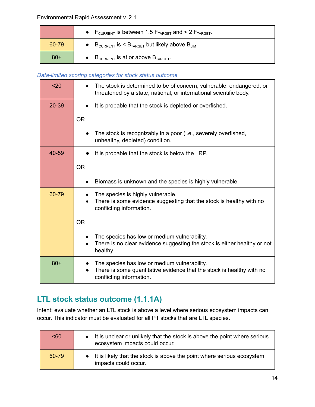|       | • $F_{\text{CURRENT}}$ is between 1.5 $F_{\text{TARGE}}$ and < 2 $F_{\text{TARGE}}$ . |
|-------|---------------------------------------------------------------------------------------|
| 60-79 | • $B_{\text{CURRENT}}$ is $\leq B_{\text{TARGE}}$ but likely above $B_{\text{LIM}}$ . |
| $80+$ | • $B_{\text{CURRENT}}$ is at or above $B_{\text{TARGE}}$ .                            |

#### *Data-limited scoring categories for stock status outcome*

| $20$  | The stock is determined to be of concern, vulnerable, endangered, or<br>threatened by a state, national, or international scientific body.        |
|-------|---------------------------------------------------------------------------------------------------------------------------------------------------|
| 20-39 | It is probable that the stock is depleted or overfished.                                                                                          |
|       | <b>OR</b>                                                                                                                                         |
|       | The stock is recognizably in a poor (i.e., severely overfished,<br>unhealthy, depleted) condition.                                                |
| 40-59 | It is probable that the stock is below the LRP.                                                                                                   |
|       | <b>OR</b>                                                                                                                                         |
|       | Biomass is unknown and the species is highly vulnerable.                                                                                          |
| 60-79 | The species is highly vulnerable.<br>There is some evidence suggesting that the stock is healthy with no<br>conflicting information.              |
|       | <b>OR</b>                                                                                                                                         |
|       | The species has low or medium vulnerability.<br>There is no clear evidence suggesting the stock is either healthy or not<br>healthy.              |
| $80+$ | The species has low or medium vulnerability.<br>There is some quantitative evidence that the stock is healthy with no<br>conflicting information. |

# <span id="page-13-0"></span>**LTL stock status outcome (1.1.1A)**

Intent: evaluate whether an LTL stock is above a level where serious ecosystem impacts can occur. This indicator must be evaluated for all P1 stocks that are LTL species.

| 50 <sub>60</sub> | • It is unclear or unlikely that the stock is above the point where serious<br>ecosystem impacts could occur. |
|------------------|---------------------------------------------------------------------------------------------------------------|
| 60-79            | • It is likely that the stock is above the point where serious ecosystem<br>impacts could occur.              |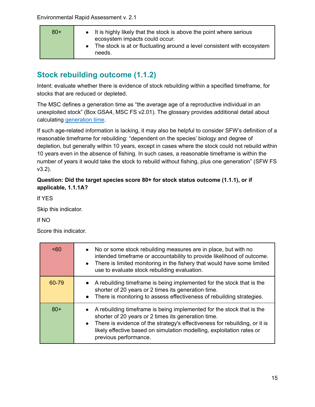| $80+$ | • It is highly likely that the stock is above the point where serious<br>ecosystem impacts could occur. |
|-------|---------------------------------------------------------------------------------------------------------|
|       | • The stock is at or fluctuating around a level consistent with ecosystem<br>needs.                     |

# <span id="page-14-0"></span>**Stock rebuilding outcome (1.1.2)**

Intent: evaluate whether there is evidence of stock rebuilding within a specified timeframe, for stocks that are reduced or depleted.

The MSC defines a generation time as "the average age of a reproductive individual in an unexploited stock" (Box GSA4, MSC FS v2.01). The glossary provides additional detail about calculating [generation](#page-51-0) time.

If such age-related information is lacking, it may also be helpful to consider SFW's definition of a reasonable timeframe for rebuilding: "dependent on the species' biology and degree of depletion, but generally within 10 years, except in cases where the stock could not rebuild within 10 years even in the absence of fishing. In such cases, a reasonable timeframe is within the number of years it would take the stock to rebuild without fishing, plus one generation" (SFW FS v3.2).

### **Question: Did the target species score 80+ for stock status outcome (1.1.1), or if applicable, 1.1.1A?**

If YES

Skip this indicator.

If NO

Score this indicator.

| < 60  | • No or some stock rebuilding measures are in place, but with no<br>intended timeframe or accountability to provide likelihood of outcome.<br>• There is limited monitoring in the fishery that would have some limited<br>use to evaluate stock rebuilding evaluation.                                          |
|-------|------------------------------------------------------------------------------------------------------------------------------------------------------------------------------------------------------------------------------------------------------------------------------------------------------------------|
| 60-79 | • A rebuilding timeframe is being implemented for the stock that is the<br>shorter of 20 years or 2 times its generation time.<br>• There is monitoring to assess effectiveness of rebuilding strategies.                                                                                                        |
| $80+$ | • A rebuilding timeframe is being implemented for the stock that is the<br>shorter of 20 years or 2 times its generation time.<br>• There is evidence of the strategy's effectiveness for rebuilding, or it is<br>likely effective based on simulation modelling, exploitation rates or<br>previous performance. |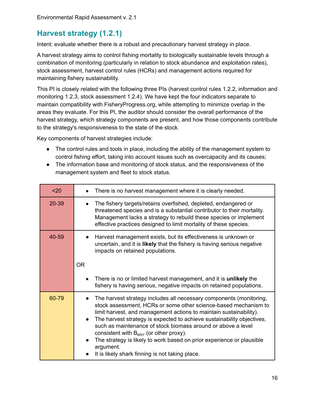# <span id="page-15-0"></span>**Harvest strategy (1.2.1)**

Intent: evaluate whether there is a robust and precautionary harvest strategy in place.

A harvest strategy aims to control fishing mortality to biologically sustainable levels through a combination of monitoring (particularly in relation to stock abundance and exploitation rates), stock assessment, harvest control rules (HCRs) and management actions required for maintaining fishery sustainability.

This PI is closely related with the following three PIs (harvest control rules 1.2.2, information and monitoring 1.2.3, stock assessment 1.2.4). We have kept the four indicators separate to maintain compatibility with FisheryProgress.org, while attempting to minimize overlap in the areas they evaluate. For this PI, the auditor should consider the overall performance of the harvest strategy, which strategy components are present, and how those components contribute to the strategy's responsiveness to the state of the stock.

Key components of harvest strategies include:

- The control rules and tools in place, including the ability of the management system to control fishing effort, taking into account issues such as overcapacity and its causes;
- The information base and monitoring of stock status, and the responsiveness of the management system and fleet to stock status.

| $20$  | There is no harvest management where it is clearly needed.                                                                                                                                                                                                                                                                                                                                                                                                                                                                                     |  |
|-------|------------------------------------------------------------------------------------------------------------------------------------------------------------------------------------------------------------------------------------------------------------------------------------------------------------------------------------------------------------------------------------------------------------------------------------------------------------------------------------------------------------------------------------------------|--|
| 20-39 | The fishery targets/retains overfished, depleted, endangered or<br>threatened species and is a substantial contributor to their mortality.<br>Management lacks a strategy to rebuild these species or implement<br>effective practices designed to limit mortality of these species.                                                                                                                                                                                                                                                           |  |
| 40-59 | Harvest management exists, but its effectiveness is unknown or<br>uncertain, and it is likely that the fishery is having serious negative<br>impacts on retained populations.<br><b>OR</b>                                                                                                                                                                                                                                                                                                                                                     |  |
|       |                                                                                                                                                                                                                                                                                                                                                                                                                                                                                                                                                |  |
|       | There is no or limited harvest management, and it is <b>unlikely</b> the<br>fishery is having serious, negative impacts on retained populations.                                                                                                                                                                                                                                                                                                                                                                                               |  |
| 60-79 | The harvest strategy includes all necessary components (monitoring,<br>stock assessment, HCRs or some other science-based mechanism to<br>limit harvest, and management actions to maintain sustainability).<br>The harvest strategy is expected to achieve sustainability objectives,<br>such as maintenance of stock biomass around or above a level<br>consistent with $B_{MSY}$ (or other proxy).<br>The strategy is likely to work based on prior experience or plausible<br>argument.<br>It is likely shark finning is not taking place. |  |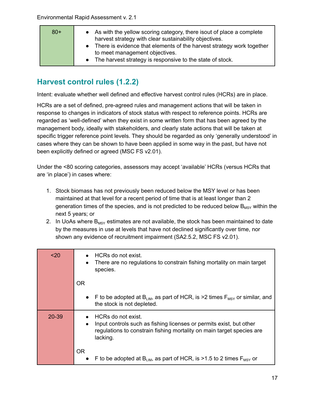| $80+$ | • As with the yellow scoring category, there isout of place a complete<br>harvest strategy with clear sustainability objectives.<br>• There is evidence that elements of the harvest strategy work together |
|-------|-------------------------------------------------------------------------------------------------------------------------------------------------------------------------------------------------------------|
|       | to meet management objectives.<br>• The harvest strategy is responsive to the state of stock.                                                                                                               |

# <span id="page-16-0"></span>**Harvest control rules (1.2.2)**

Intent: evaluate whether well defined and effective harvest control rules (HCRs) are in place.

HCRs are a set of defined, pre-agreed rules and management actions that will be taken in response to changes in indicators of stock status with respect to reference points. HCRs are regarded as 'well-defined' when they exist in some written form that has been agreed by the management body, ideally with stakeholders, and clearly state actions that will be taken at specific trigger reference point levels. They should be regarded as only 'generally understood' in cases where they can be shown to have been applied in some way in the past, but have not been explicitly defined or agreed (MSC FS v2.01).

Under the <80 scoring categories, assessors may accept 'available' HCRs (versus HCRs that are 'in place') in cases where:

- 1. Stock biomass has not previously been reduced below the MSY level or has been maintained at that level for a recent period of time that is at least longer than 2 generation times of the species, and is not predicted to be reduced below  $B_{MSY}$  within the next 5 years; or
- 2. In UoAs where  $B_{MSY}$  estimates are not available, the stock has been maintained to date by the measures in use at levels that have not declined significantly over time, nor shown any evidence of recruitment impairment (SA2.5.2, MSC FS v2.01).

| $20$      | HCRs do not exist.<br>There are no regulations to constrain fishing mortality on main target<br>species.                                                                                    |
|-----------|---------------------------------------------------------------------------------------------------------------------------------------------------------------------------------------------|
|           | <b>OR</b>                                                                                                                                                                                   |
|           | • F to be adopted at $B_{LIM}$ , as part of HCR, is >2 times $F_{MSY}$ or similar, and<br>the stock is not depleted.                                                                        |
| $20 - 39$ | HCRs do not exist.<br>Input controls such as fishing licenses or permits exist, but other<br>$\bullet$<br>regulations to constrain fishing mortality on main target species are<br>lacking. |
|           | OR.<br>F to be adopted at B <sub>LM</sub> , as part of HCR, is >1.5 to 2 times $F_{MSY}$ or<br>$\bullet$                                                                                    |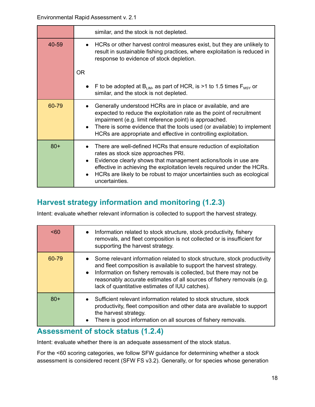|       | similar, and the stock is not depleted.                                                                                                                                                                                                                                                                                                            |  |
|-------|----------------------------------------------------------------------------------------------------------------------------------------------------------------------------------------------------------------------------------------------------------------------------------------------------------------------------------------------------|--|
| 40-59 | HCRs or other harvest control measures exist, but they are unlikely to<br>result in sustainable fishing practices, where exploitation is reduced in<br>response to evidence of stock depletion.                                                                                                                                                    |  |
|       | <b>OR</b>                                                                                                                                                                                                                                                                                                                                          |  |
|       | F to be adopted at B <sub>LM</sub> , as part of HCR, is >1 to 1.5 times $F_{MSY}$ or<br>similar, and the stock is not depleted.                                                                                                                                                                                                                    |  |
| 60-79 | Generally understood HCRs are in place or available, and are<br>expected to reduce the exploitation rate as the point of recruitment<br>impairment (e.g. limit reference point) is approached.<br>There is some evidence that the tools used (or available) to implement<br>HCRs are appropriate and effective in controlling exploitation.        |  |
| $80+$ | There are well-defined HCRs that ensure reduction of exploitation<br>rates as stock size approaches PRI.<br>Evidence clearly shows that management actions/tools in use are<br>effective in achieving the exploitation levels required under the HCRs.<br>HCRs are likely to be robust to major uncertainties such as ecological<br>uncertainties. |  |

### <span id="page-17-0"></span>**Harvest strategy information and monitoring (1.2.3)**

Intent: evaluate whether relevant information is collected to support the harvest strategy.

| <60   | Information related to stock structure, stock productivity, fishery<br>$\bullet$<br>removals, and fleet composition is not collected or is insufficient for<br>supporting the harvest strategy.                                                                                                                                                                              |
|-------|------------------------------------------------------------------------------------------------------------------------------------------------------------------------------------------------------------------------------------------------------------------------------------------------------------------------------------------------------------------------------|
| 60-79 | Some relevant information related to stock structure, stock productivity<br>$\bullet$<br>and fleet composition is available to support the harvest strategy.<br>Information on fishery removals is collected, but there may not be<br>$\bullet$<br>reasonably accurate estimates of all sources of fishery removals (e.g.<br>lack of quantitative estimates of IUU catches). |
| $80+$ | Sufficient relevant information related to stock structure, stock<br>productivity, fleet composition and other data are available to support<br>the harvest strategy.<br>There is good information on all sources of fishery removals.<br>$\bullet$                                                                                                                          |

### <span id="page-17-1"></span>**Assessment of stock status (1.2.4)**

Intent: evaluate whether there is an adequate assessment of the stock status.

For the <60 scoring categories, we follow SFW guidance for determining whether a stock assessment is considered recent (SFW FS v3.2). Generally, or for species whose generation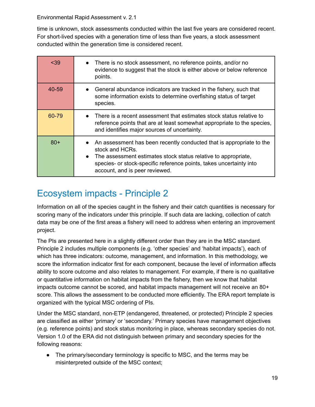time is unknown, stock assessments conducted within the last five years are considered recent. For short-lived species with a generation time of less than five years, a stock assessment conducted within the generation time is considered recent.

| < 39  | • There is no stock assessment, no reference points, and/or no<br>evidence to suggest that the stock is either above or below reference<br>points.                                                                                                                              |
|-------|---------------------------------------------------------------------------------------------------------------------------------------------------------------------------------------------------------------------------------------------------------------------------------|
| 40-59 | General abundance indicators are tracked in the fishery, such that<br>some information exists to determine overfishing status of target<br>species.                                                                                                                             |
| 60-79 | There is a recent assessment that estimates stock status relative to<br>reference points that are at least somewhat appropriate to the species,<br>and identifies major sources of uncertainty.                                                                                 |
| $80+$ | An assessment has been recently conducted that is appropriate to the<br>stock and HCRs.<br>The assessment estimates stock status relative to appropriate,<br>$\bullet$<br>species- or stock-specific reference points, takes uncertainty into<br>account, and is peer reviewed. |

# <span id="page-18-0"></span>Ecosystem impacts - Principle 2

Information on all of the species caught in the fishery and their catch quantities is necessary for scoring many of the indicators under this principle. If such data are lacking, collection of catch data may be one of the first areas a fishery will need to address when entering an improvement project.

The PIs are presented here in a slightly different order than they are in the MSC standard. Principle 2 includes multiple components (e.g. 'other species' and 'habitat impacts'), each of which has three indicators: outcome, management, and information. In this methodology, we score the information indicator first for each component, because the level of information affects ability to score outcome and also relates to management. For example, if there is no qualitative or quantitative information on habitat impacts from the fishery, then we know that habitat impacts outcome cannot be scored, and habitat impacts management will not receive an 80+ score. This allows the assessment to be conducted more efficiently. The ERA report template is organized with the typical MSC ordering of PIs.

Under the MSC standard, non-ETP (endangered, threatened, or protected) Principle 2 species are classified as either 'primary' or 'secondary.' Primary species have management objectives (e.g. reference points) and stock status monitoring in place, whereas secondary species do not. Version 1.0 of the ERA did not distinguish between primary and secondary species for the following reasons:

● The primary/secondary terminology is specific to MSC, and the terms may be misinterpreted outside of the MSC context;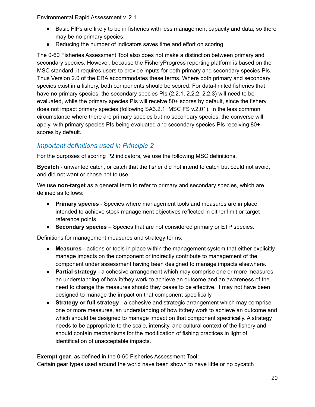- Basic FIPs are likely to be in fisheries with less management capacity and data, so there may be no primary species;
- Reducing the number of indicators saves time and effort on scoring.

The 0-60 Fisheries Assessment Tool also does not make a distinction between primary and secondary species. However, because the FisheryProgress reporting platform is based on the MSC standard, it requires users to provide inputs for both primary and secondary species PIs. Thus Version 2.0 of the ERA accommodates these terms. Where both primary and secondary species exist in a fishery, both components should be scored. For data-limited fisheries that have no primary species, the secondary species PIs (2.2.1, 2.2.2, 2.2.3) will need to be evaluated, while the primary species PIs will receive 80+ scores by default, since the fishery does not impact primary species (following SA3.2.1, MSC FS v.2.01). In the less common circumstance where there are primary species but no secondary species, the converse will apply, with primary species PIs being evaluated and secondary species PIs receiving 80+ scores by default.

### <span id="page-19-0"></span>*Important definitions used in Principle 2*

For the purposes of scoring P2 indicators, we use the following MSC definitions.

**Bycatch** - unwanted catch, or catch that the fisher did not intend to catch but could not avoid, and did not want or chose not to use.

We use **non-target** as a general term to refer to primary and secondary species, which are defined as follows:

- **Primary species** Species where management tools and measures are in place, intended to achieve stock management objectives reflected in either limit or target reference points.
- **● Secondary species** Species that are not considered primary or ETP species.

Definitions for management measures and strategy terms:

- **Measures** actions or tools in place within the management system that either explicitly manage impacts on the component or indirectly contribute to management of the component under assessment having been designed to manage impacts elsewhere.
- **Partial strategy** a cohesive arrangement which may comprise one or more measures, an understanding of how it/they work to achieve an outcome and an awareness of the need to change the measures should they cease to be effective. It may not have been designed to manage the impact on that component specifically.
- **Strategy or full strategy** a cohesive and strategic arrangement which may comprise one or more measures, an understanding of how it/they work to achieve an outcome and which should be designed to manage impact on that component specifically. A strategy needs to be appropriate to the scale, intensity, and cultural context of the fishery and should contain mechanisms for the modification of fishing practices in light of identification of unacceptable impacts.

**Exempt gear**, as defined in the 0-60 Fisheries Assessment Tool: Certain gear types used around the world have been shown to have little or no bycatch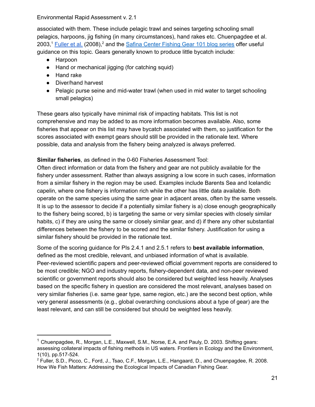associated with them. These include pelagic trawl and seines targeting schooling small pelagics, harpoons, jig fishing (in many circumstances), hand rakes etc. Chuenpagdee et al. 2003,<sup>1</sup> [Fuller](https://marine-conservation.org/archive/mcbi/HowWeFish.pdf) et al. (2008),<sup>2</sup> and the Safina Center [Fishing](https://web.archive.org/web/20190921212459/http:/safinacenter.org/category/gear-101/) Gear 101 blog series offer useful guidance on this topic. Gears generally known to produce little bycatch include:

- Harpoon
- Hand or mechanical jigging (for catching squid)
- Hand rake
- Diver/hand harvest
- Pelagic purse seine and mid-water trawl (when used in mid water to target schooling small pelagics)

These gears also typically have minimal risk of impacting habitats. This list is not comprehensive and may be added to as more information becomes available. Also, some fisheries that appear on this list may have bycatch associated with them, so justification for the scores associated with exempt gears should still be provided in the rationale text. Where possible, data and analysis from the fishery being analyzed is always preferred.

**Similar fisheries**, as defined in the 0-60 Fisheries Assessment Tool:

Often direct information or data from the fishery and gear are not publicly available for the fishery under assessment. Rather than always assigning a low score in such cases, information from a similar fishery in the region may be used. Examples include Barents Sea and Icelandic capelin, where one fishery is information rich while the other has little data available. Both operate on the same species using the same gear in adjacent areas, often by the same vessels. It is up to the assessor to decide if a potentially similar fishery is a) close enough geographically to the fishery being scored, b) is targeting the same or very similar species with closely similar habits, c) if they are using the same or closely similar gear, and d) if there any other substantial differences between the fishery to be scored and the similar fishery. Justification for using a similar fishery should be provided in the rationale text.

Some of the scoring guidance for PIs 2.4.1 and 2.5.1 refers to **best available information**, defined as the most credible, relevant, and unbiased information of what is available. Peer-reviewed scientific papers and peer-reviewed official government reports are considered to be most credible; NGO and industry reports, fishery-dependent data, and non-peer reviewed scientific or government reports should also be considered but weighted less heavily. Analyses based on the specific fishery in question are considered the most relevant, analyses based on very similar fisheries (i.e. same gear type, same region, etc.) are the second best option, while very general assessments (e.g., global overarching conclusions about a type of gear) are the least relevant, and can still be considered but should be weighted less heavily.

<sup>&</sup>lt;sup>1</sup> Chuenpagdee, R., Morgan, L.E., Maxwell, S.M., Norse, E.A. and Pauly, D. 2003. Shifting gears: assessing collateral impacts of fishing methods in US waters. Frontiers in Ecology and the Environment, 1(10), pp.517-524.

<sup>2</sup> Fuller, S.D., Picco, C., Ford, J., Tsao, C.F., Morgan, L.E., Hangaard, D., and Chuenpagdee, R. 2008. How We Fish Matters: Addressing the Ecological Impacts of Canadian Fishing Gear.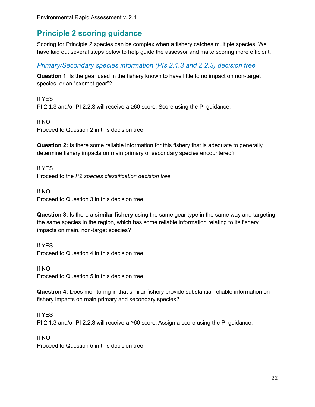### <span id="page-21-0"></span>**Principle 2 scoring guidance**

Scoring for Principle 2 species can be complex when a fishery catches multiple species. We have laid out several steps below to help guide the assessor and make scoring more efficient.

### <span id="page-21-1"></span>*Primary/Secondary species information (PIs 2.1.3 and 2.2.3) decision tree*

**Question 1**: Is the gear used in the fishery known to have little to no impact on non-target species, or an "exempt gear"?

If YES PI 2.1.3 and/or PI 2.2.3 will receive a ≥60 score. Score using the PI guidance.

If NO Proceed to Question 2 in this decision tree.

**Question 2:** Is there some reliable information for this fishery that is adequate to generally determine fishery impacts on main primary or secondary species encountered?

If YES Proceed to the *P2 species classification decision tree*.

If NO

Proceed to Question 3 in this decision tree.

**Question 3:** Is there a **similar fishery** using the same gear type in the same way and targeting the same species in the region, which has some reliable information relating to its fishery impacts on main, non-target species?

If YES Proceed to Question 4 in this decision tree.

If NO Proceed to Question 5 in this decision tree.

**Question 4:** Does monitoring in that similar fishery provide substantial reliable information on fishery impacts on main primary and secondary species?

If YES PI 2.1.3 and/or PI 2.2.3 will receive a ≥60 score. Assign a score using the PI guidance.

If NO

Proceed to Question 5 in this decision tree.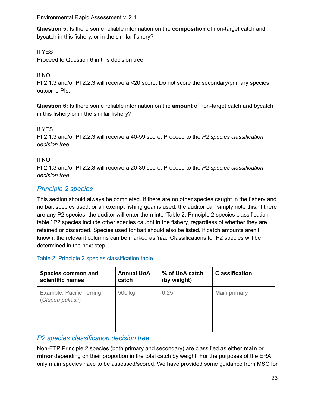**Question 5:** Is there some reliable information on the **composition** of non-target catch and bycatch in this fishery, or in the similar fishery?

### If YES

Proceed to Question 6 in this decision tree.

### If NO

PI 2.1.3 and/or PI 2.2.3 will receive a <20 score. Do not score the secondary/primary species outcome PIs.

**Question 6:** Is there some reliable information on the **amount** of non-target catch and bycatch in this fishery or in the similar fishery?

### If YES

PI 2.1.3 and/or PI 2.2.3 will receive a 40-59 score. Proceed to the *P2 species classification decision tree*.

#### If NO

PI 2.1.3 and/or PI 2.2.3 will receive a 20-39 score. Proceed to the *P2 species classification decision tree*.

### <span id="page-22-0"></span>*Principle 2 species*

This section should always be completed. If there are no other species caught in the fishery and no bait species used, or an exempt fishing gear is used, the auditor can simply note this. If there are any P2 species, the auditor will enter them into 'Table 2. Principle 2 species classification table.' P2 species include other species caught in the fishery, regardless of whether they are retained or discarded. Species used for bait should also be listed. If catch amounts aren't known, the relevant columns can be marked as 'n/a.' Classifications for P2 species will be determined in the next step.

#### Table 2. Principle 2 species classification table.

| Species common and<br>scientific names        | <b>Annual UoA</b><br>catch | % of UoA catch<br>(by weight) | <b>Classification</b> |
|-----------------------------------------------|----------------------------|-------------------------------|-----------------------|
| Example: Pacific herring<br>(Clupea pallasii) | 500 kg                     | 0.25                          | Main primary          |
|                                               |                            |                               |                       |
|                                               |                            |                               |                       |

#### <span id="page-22-1"></span>*P2 species classification decision tree*

Non-ETP Principle 2 species (both primary and secondary) are classified as either **main** or **minor** depending on their proportion in the total catch by weight. For the purposes of the ERA, only main species have to be assessed/scored. We have provided some guidance from MSC for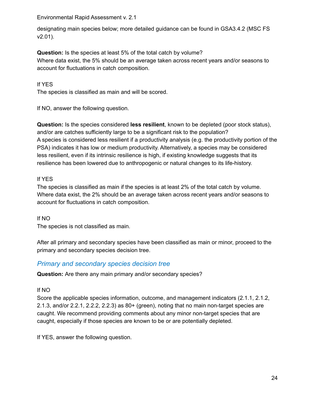designating main species below; more detailed guidance can be found in GSA3.4.2 (MSC FS v2.01).

**Question:** Is the species at least 5% of the total catch by volume? Where data exist, the 5% should be an average taken across recent years and/or seasons to account for fluctuations in catch composition.

#### If YES

The species is classified as main and will be scored.

If NO, answer the following question.

**Question:** Is the species considered **less resilient**, known to be depleted (poor stock status), and/or are catches sufficiently large to be a significant risk to the population? A species is considered less resilient if a productivity analysis (e.g. the productivity portion of the PSA) indicates it has low or medium productivity. Alternatively, a species may be considered less resilient, even if its intrinsic resilience is high, if existing knowledge suggests that its resilience has been lowered due to anthropogenic or natural changes to its life-history.

#### If YES

The species is classified as main if the species is at least 2% of the total catch by volume. Where data exist, the 2% should be an average taken across recent years and/or seasons to account for fluctuations in catch composition.

#### If NO

The species is not classified as main.

After all primary and secondary species have been classified as main or minor, proceed to the primary and secondary species decision tree.

#### <span id="page-23-0"></span>*Primary and secondary species decision tree*

**Question:** Are there any main primary and/or secondary species?

#### If NO

Score the applicable species information, outcome, and management indicators (2.1.1, 2.1.2, 2.1.3, and/or 2.2.1, 2.2.2, 2.2.3) as 80+ (green), noting that no main non-target species are caught. We recommend providing comments about any minor non-target species that are caught, especially if those species are known to be or are potentially depleted.

If YES, answer the following question.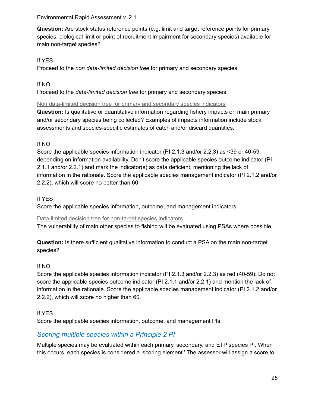**Question:** Are stock status reference points (e.g. limit and target reference points for primary species, biological limit or point of recruitment impairment for secondary species) available for main non-target species?

#### If YES

Proceed to the *non data-limited decision tree* for primary and secondary species.

#### If NO

Proceed to the *data-limited decision tree* for primary and secondary species.

Non data-limited decision tree for primary and secondary species indicators

**Question:** Is qualitative or quantitative information regarding fishery impacts on main primary and/or secondary species being collected? Examples of impacts information include stock assessments and species-specific estimates of catch and/or discard quantities.

#### If NO

Score the applicable species information indicator (PI 2.1.3 and/or 2.2.3) as <39 or 40-59, depending on information availability. Don't score the applicable species outcome indicator (PI 2.1.1 and/or 2.2.1) and mark the indicator(s) as data deficient, mentioning the lack of information in the rationale. Score the applicable species management indicator (PI 2.1.2 and/or 2.2.2), which will score no better than 60.

#### If YES

Score the applicable species information, outcome, and management indicators.

#### Data-limited decision tree for non-target species indicators

The vulnerability of main other species to fishing will be evaluated using PSAs where possible.

**Question:** Is there sufficient qualitative information to conduct a PSA on the main non-target species?

#### If NO

Score the applicable species information indicator (PI 2.1.3 and/or 2.2.3) as red (40-59). Do not score the applicable species outcome indicator (PI 2.1.1 and/or 2.2.1) and mention the lack of information in the rationale. Score the applicable species management indicator (PI 2.1.2 and/or 2.2.2), which will score no higher than 60.

#### If YES

Score the applicable species information, outcome, and management PIs.

### <span id="page-24-0"></span>*Scoring multiple species within a Principle 2 PI*

Multiple species may be evaluated within each primary, secondary, and ETP species PI. When this occurs, each species is considered a 'scoring element.' The assessor will assign a score to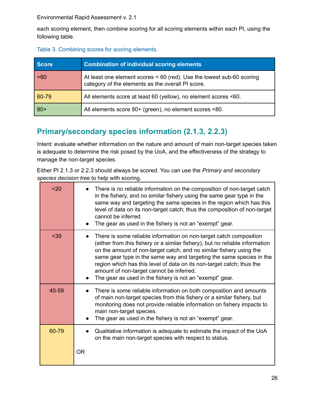each scoring element, then combine scoring for all scoring elements within each PI, using the following table.

Table 3. Combining scores for scoring elements.

| Score | <b>Combination of individual scoring elements</b>                                                                          |
|-------|----------------------------------------------------------------------------------------------------------------------------|
| $60$  | At least one element scores < 60 (red). Use the lowest sub-60 scoring<br>category of the elements as the overall PI score. |
| 60-79 | All elements score at least 60 (yellow), no element scores <60.                                                            |
| $80+$ | All elements score 80+ (green), no element scores <80.                                                                     |

# **Primary/secondary species information (2.1.3, 2.2.3)**

Intent: evaluate whether information on the nature and amount of main non-target species taken is adequate to determine the risk posed by the UoA, and the effectiveness of the strategy to manage the non-target species.

Either PI 2.1.3 or 2.2.3 should always be scored. You can use the *Primary and secondary species decision tree* to help with scoring.

| $20$  | There is no reliable information on the composition of non-target catch<br>in the fishery, and no similar fishery using the same gear type in the<br>same way and targeting the same species in the region which has this<br>level of data on its non-target catch; thus the composition of non-target<br>cannot be inferred.<br>The gear as used in the fishery is not an "exempt" gear.                                                                                          |
|-------|------------------------------------------------------------------------------------------------------------------------------------------------------------------------------------------------------------------------------------------------------------------------------------------------------------------------------------------------------------------------------------------------------------------------------------------------------------------------------------|
| $39$  | There is some reliable information on non-target catch composition<br>(either from this fishery or a similar fishery), but no reliable information<br>on the amount of non-target catch, and no similar fishery using the<br>same gear type in the same way and targeting the same species in the<br>region which has this level of data on its non-target catch; thus the<br>amount of non-target cannot be inferred.<br>The gear as used in the fishery is not an "exempt" gear. |
| 40-59 | There is some reliable information on both composition and amounts<br>of main non-target species from this fishery or a similar fishery, but<br>monitoring does not provide reliable information on fishery impacts to<br>main non-target species.<br>The gear as used in the fishery is not an "exempt" gear.                                                                                                                                                                     |
| 60-79 | Qualitative information is adequate to estimate the impact of the UoA<br>on the main non-target species with respect to status.                                                                                                                                                                                                                                                                                                                                                    |
|       | 0R                                                                                                                                                                                                                                                                                                                                                                                                                                                                                 |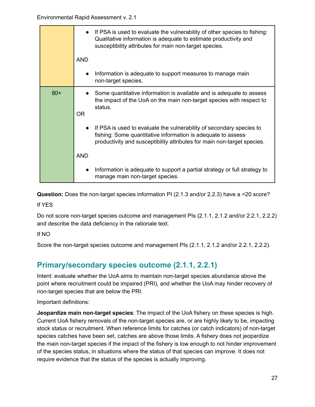|       | • If PSA is used to evaluate the vulnerability of other species to fishing:<br>Qualitative information is adequate to estimate productivity and<br>susceptibility attributes for main non-target species.<br><b>AND</b>      |
|-------|------------------------------------------------------------------------------------------------------------------------------------------------------------------------------------------------------------------------------|
|       |                                                                                                                                                                                                                              |
|       | Information is adequate to support measures to manage main<br>non-target species.                                                                                                                                            |
| $80+$ | Some quantitative information is available and is adequate to assess<br>the impact of the UoA on the main non-target species with respect to<br>status.<br><b>OR</b>                                                         |
|       | If PSA is used to evaluate the vulnerability of secondary species to<br>$\bullet$<br>fishing: Some quantitative information is adequate to assess<br>productivity and susceptibility attributes for main non-target species. |
|       | <b>AND</b>                                                                                                                                                                                                                   |
|       | Information is adequate to support a partial strategy or full strategy to<br>manage main non-target species.                                                                                                                 |

**Question:** Does the non-target species information PI (2.1.3 and/or 2.2.3) have a <20 score?

If YES

Do not score non-target species outcome and management PIs (2.1.1, 2.1.2 and/or 2.2.1, 2.2.2) and describe the data deficiency in the rationale text.

If NO

Score the non-target species outcome and management PIs (2.1.1, 2.1.2 and/or 2.2.1, 2.2.2).

# <span id="page-26-0"></span>**Primary/secondary species outcome (2.1.1, 2.2.1)**

Intent: evaluate whether the UoA aims to maintain non-target species abundance above the point where recruitment could be impaired (PRI), and whether the UoA may hinder recovery of non-target species that are below the PRI.

Important definitions:

**Jeopardize main non-target species**: The impact of the UoA fishery on these species is high. Current UoA fishery removals of the non-target species are, or are highly likely to be, impacting stock status or recruitment. When reference limits for catches (or catch indicators) of non-target species catches have been set, catches are above those limits. A fishery does not jeopardize the main non-target species if the impact of the fishery is low enough to not hinder improvement of the species status, in situations where the status of that species can improve. It does not require evidence that the status of the species is actually improving.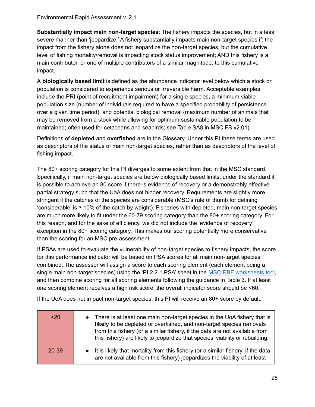**Substantially impact main non-target species**: The fishery impacts the species, but in a less severe manner than 'jeopardize.' A fishery substantially impacts main non-target species if: the impact from the fishery alone does not jeopardize the non-target species, but the cumulative level of fishing mortality/removal is impacting stock status improvement; AND this fishery is a main contributor, or one of multiple contributors of a similar magnitude, to this cumulative impact.

A **biologically based limit** is defined as the abundance indicator level below which a stock or population is considered to experience serious or irreversible harm. Acceptable examples include the PRI (point of recruitment impairment) for a single species, a minimum viable population size (number of individuals required to have a specified probability of persistence over a given time period), and potential biological removal (maximum number of animals that may be removed from a stock while allowing for optimum sustainable population to be maintained; often used for cetaceans and seabirds; see Table SA8 in MSC FS v2.01).

Definitions of **depleted** and **overfished** are in the Glossary. Under this PI these terms are used as descriptors of the status of main non-target species, rather than as descriptors of the level of fishing impact.

The 80+ scoring category for this PI diverges to some extent from that in the MSC standard. Specifically, if main non-target species are below biologically based limits, under the standard it is possible to achieve an 80 score if there is evidence of recovery or a demonstrably effective partial strategy such that the UoA does not hinder recovery. Requirements are slightly more stringent if the catches of the species are considerable (MSC's rule of thumb for defining 'considerable' is ≥ 10% of the catch by weight). Fisheries with depleted, main non-target species are much more likely to fit under the 60-79 scoring category than the 80+ scoring category. For this reason, and for the sake of efficiency, we did not include the 'evidence of recovery' exception in the 80+ scoring category. This makes our scoring potentially more conservative than the scoring for an MSC pre-assessment.

If PSAs are used to evaluate the vulnerability of non-target species to fishery impacts, the score for this performance indicator will be based on PSA scores for all main non-target species combined. The assessor will assign a score to each scoring element (each element being a single main non-target species) using the 'PI 2.2.1 PSA' sheet in the MSC RBF [worksheets](https://www.msc.org/docs/default-source/default-document-library/for-business/program-documents/chain-of-custody-supporting-documents/msc-rbf-worksheets-v2-04.xlsx?sfvrsn=224fc7d6_8) tool, and then combine scoring for all scoring elements following the guidance in Table 3. If at least one scoring element receives a high risk score, the overall indicator score should be <60.

If the UoA does not impact non-target species, this PI will receive an 80+ score by default.

| $20$  | There is at least one main non-target species in the UoA fishery that is<br>$\bullet$<br>likely to be depleted or overfished, and non-target species removals<br>from this fishery (or a similar fishery, if the data are not available from<br>this fishery) are likely to jeopardize that species' viability or rebuilding. |
|-------|-------------------------------------------------------------------------------------------------------------------------------------------------------------------------------------------------------------------------------------------------------------------------------------------------------------------------------|
| 20-39 | It is likely that mortality from this fishery (or a similar fishery, if the data<br>$\bullet$<br>are not available from this fishery) jeopardizes the viability of at least                                                                                                                                                   |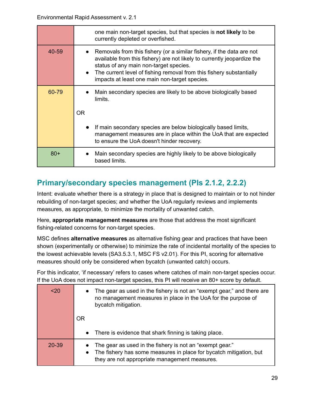|       | one main non-target species, but that species is not likely to be<br>currently depleted or overfished.                                                                                                                                                                                                              |
|-------|---------------------------------------------------------------------------------------------------------------------------------------------------------------------------------------------------------------------------------------------------------------------------------------------------------------------|
| 40-59 | Removals from this fishery (or a similar fishery, if the data are not<br>available from this fishery) are not likely to currently jeopardize the<br>status of any main non-target species.<br>The current level of fishing removal from this fishery substantially<br>impacts at least one main non-target species. |
| 60-79 | Main secondary species are likely to be above biologically based<br>limits.                                                                                                                                                                                                                                         |
|       | OR.                                                                                                                                                                                                                                                                                                                 |
|       | If main secondary species are below biologically based limits,<br>management measures are in place within the UoA that are expected<br>to ensure the UoA doesn't hinder recovery.                                                                                                                                   |
| $80+$ | Main secondary species are highly likely to be above biologically<br>based limits.                                                                                                                                                                                                                                  |

# <span id="page-28-0"></span>**Primary/secondary species management (PIs 2.1.2, 2.2.2)**

Intent: evaluate whether there is a strategy in place that is designed to maintain or to not hinder rebuilding of non-target species; and whether the UoA regularly reviews and implements measures, as appropriate, to minimize the mortality of unwanted catch.

Here, **appropriate management measures** are those that address the most significant fishing-related concerns for non-target species.

MSC defines **alternative measures** as alternative fishing gear and practices that have been shown (experimentally or otherwise) to minimize the rate of incidental mortality of the species to the lowest achievable levels (SA3.5.3.1, MSC FS v2.01). For this PI, scoring for alternative measures should only be considered when bycatch (unwanted catch) occurs.

For this indicator, 'if necessary' refers to cases where catches of main non-target species occur. If the UoA does not impact non-target species, this PI will receive an 80+ score by default.

| $20$      | • The gear as used in the fishery is not an "exempt gear," and there are<br>no management measures in place in the UoA for the purpose of<br>bycatch mitigation.                             |
|-----------|----------------------------------------------------------------------------------------------------------------------------------------------------------------------------------------------|
|           | OR                                                                                                                                                                                           |
|           | • There is evidence that shark finning is taking place.                                                                                                                                      |
| $20 - 39$ | The gear as used in the fishery is not an "exempt gear."<br>The fishery has some measures in place for bycatch mitigation, but<br>$\bullet$<br>they are not appropriate management measures. |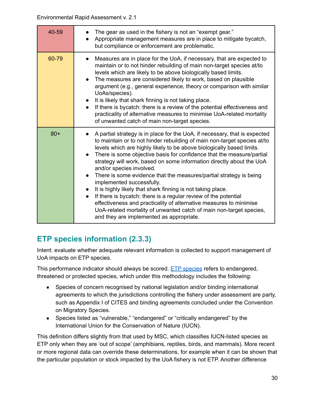| 40-59 | The gear as used in the fishery is not an "exempt gear."<br>Appropriate management measures are in place to mitigate bycatch,<br>but compliance or enforcement are problematic.                                                                                                                                                                                                                                                                                                                                                                                                                                                                                                                                                                                                                                                                         |
|-------|---------------------------------------------------------------------------------------------------------------------------------------------------------------------------------------------------------------------------------------------------------------------------------------------------------------------------------------------------------------------------------------------------------------------------------------------------------------------------------------------------------------------------------------------------------------------------------------------------------------------------------------------------------------------------------------------------------------------------------------------------------------------------------------------------------------------------------------------------------|
| 60-79 | Measures are in place for the UoA, if necessary, that are expected to<br>$\bullet$<br>maintain or to not hinder rebuilding of main non-target species at/to<br>levels which are likely to be above biologically based limits.<br>The measures are considered likely to work, based on plausible<br>argument (e.g., general experience, theory or comparison with similar<br>UoAs/species).<br>It is likely that shark finning is not taking place.<br>If there is by catch: there is a review of the potential effectiveness and<br>practicality of alternative measures to minimise UoA-related mortality<br>of unwanted catch of main non-target species.                                                                                                                                                                                             |
| $80+$ | A partial strategy is in place for the UoA, if necessary, that is expected<br>to maintain or to not hinder rebuilding of main non-target species at/to<br>levels which are highly likely to be above biologically based limits.<br>There is some objective basis for confidence that the measure/partial<br>strategy will work, based on some information directly about the UoA<br>and/or species involved.<br>There is some evidence that the measures/partial strategy is being<br>$\bullet$<br>implemented successfully.<br>It is highly likely that shark finning is not taking place.<br>If there is bycatch: there is a regular review of the potential<br>effectiveness and practicality of alternative measures to minimise<br>UoA-related mortality of unwanted catch of main non-target species,<br>and they are implemented as appropriate. |

# <span id="page-29-0"></span>**ETP species information (2.3.3)**

Intent: evaluate whether adequate relevant information is collected to support management of UoA impacts on ETP species.

This performance indicator should always be scored. ETP [species](#page-51-1) refers to endangered, threatened or protected species, which under this methodology includes the following:

- Species of concern recognised by national legislation and/or binding international agreements to which the jurisdictions controlling the fishery under assessment are party, such as Appendix I of CITES and binding agreements concluded under the Convention on Migratory Species.
- Species listed as "vulnerable," "endangered" or "critically endangered" by the International Union for the Conservation of Nature (IUCN).

This definition differs slightly from that used by MSC, which classifies IUCN-listed species as ETP only when they are 'out of scope' (amphibians, reptiles, birds, and mammals). More recent or more regional data can override these determinations, for example when it can be shown that the particular population or stock impacted by the UoA fishery is not ETP. Another difference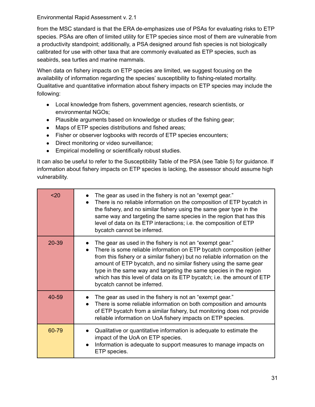from the MSC standard is that the ERA de-emphasizes use of PSAs for evaluating risks to ETP species. PSAs are often of limited utility for ETP species since most of them are vulnerable from a productivity standpoint; additionally, a PSA designed around fish species is not biologically calibrated for use with other taxa that are commonly evaluated as ETP species, such as seabirds, sea turtles and marine mammals.

When data on fishery impacts on ETP species are limited, we suggest focusing on the availability of information regarding the species' susceptibility to fishing-related mortality. Qualitative and quantitative information about fishery impacts on ETP species may include the following:

- Local knowledge from fishers, government agencies, research scientists, or environmental NGOs;
- Plausible arguments based on knowledge or studies of the fishing gear;
- Maps of ETP species distributions and fished areas;
- Fisher or observer logbooks with records of ETP species encounters;
- Direct monitoring or video surveillance;
- Empirical modelling or scientifically robust studies.

It can also be useful to refer to the Susceptibility Table of the PSA (see Table 5) for guidance. If information about fishery impacts on ETP species is lacking, the assessor should assume high vulnerability.

| $20$  | The gear as used in the fishery is not an "exempt gear."<br>There is no reliable information on the composition of ETP bycatch in<br>the fishery, and no similar fishery using the same gear type in the<br>same way and targeting the same species in the region that has this<br>level of data on its ETP interactions; i.e. the composition of ETP<br>bycatch cannot be inferred.                                                                                |
|-------|---------------------------------------------------------------------------------------------------------------------------------------------------------------------------------------------------------------------------------------------------------------------------------------------------------------------------------------------------------------------------------------------------------------------------------------------------------------------|
| 20-39 | The gear as used in the fishery is not an "exempt gear."<br>There is some reliable information on ETP bycatch composition (either<br>from this fishery or a similar fishery) but no reliable information on the<br>amount of ETP bycatch, and no similar fishery using the same gear<br>type in the same way and targeting the same species in the region<br>which has this level of data on its ETP bycatch; i.e. the amount of ETP<br>bycatch cannot be inferred. |
| 40-59 | The gear as used in the fishery is not an "exempt gear."<br>There is some reliable information on both composition and amounts<br>of ETP bycatch from a similar fishery, but monitoring does not provide<br>reliable information on UoA fishery impacts on ETP species.                                                                                                                                                                                             |
| 60-79 | Qualitative or quantitative information is adequate to estimate the<br>impact of the UoA on ETP species.<br>Information is adequate to support measures to manage impacts on<br>ETP species.                                                                                                                                                                                                                                                                        |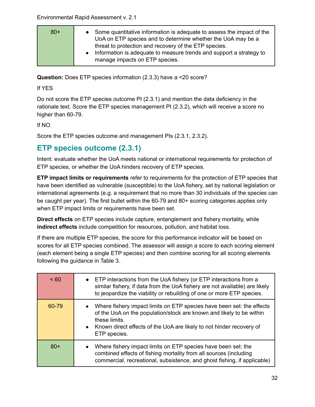| $80+$ | Some quantitative information is adequate to assess the impact of the<br>UoA on ETP species and to determine whether the UoA may be a |
|-------|---------------------------------------------------------------------------------------------------------------------------------------|
|       | threat to protection and recovery of the ETP species.                                                                                 |
|       | Information is adequate to measure trends and support a strategy to<br>manage impacts on ETP species.                                 |
|       |                                                                                                                                       |

**Question:** Does ETP species information (2.3.3) have a <20 score?

If YES

Do not score the ETP species outcome PI (2.3.1) and mention the data deficiency in the rationale text. Score the ETP species management PI (2.3.2), which will receive a score no higher than 60-79.

#### If NO

Score the ETP species outcome and management PIs (2.3.1, 2.3.2).

### <span id="page-31-0"></span>**ETP species outcome (2.3.1)**

Intent: evaluate whether the UoA meets national or international requirements for protection of ETP species, or whether the UoA hinders recovery of ETP species.

**ETP impact limits or requirements** refer to requirements for the protection of ETP species that have been identified as vulnerable (susceptible) to the UoA fishery, set by national legislation or international agreements (e.g. a requirement that no more than 30 individuals of the species can be caught per year). The first bullet within the 60-79 and 80+ scoring categories applies only when ETP impact limits or requirements have been set.

**Direct effects** on ETP species include capture, entanglement and fishery mortality, while **indirect effects** include competition for resources, pollution, and habitat loss.

If there are multiple ETP species, the score for this performance indicator will be based on scores for all ETP species combined. The assessor will assign a score to each scoring element (each element being a single ETP species) and then combine scoring for all scoring elements following the guidance in Table 3.

| ~< 60 | • ETP interactions from the UoA fishery (or ETP interactions from a<br>similar fishery, if data from the UoA fishery are not available) are likely<br>to jeopardize the viability or rebuilding of one or more ETP species.                                           |
|-------|-----------------------------------------------------------------------------------------------------------------------------------------------------------------------------------------------------------------------------------------------------------------------|
| 60-79 | Where fishery impact limits on ETP species have been set: the effects<br>$\bullet$<br>of the UoA on the population/stock are known and likely to be within<br>these limits.<br>• Known direct effects of the UoA are likely to not hinder recovery of<br>ETP species. |
| $80+$ | Where fishery impact limits on ETP species have been set: the<br>$\bullet$<br>combined effects of fishing mortality from all sources (including<br>commercial, recreational, subsistence, and ghost fishing, if applicable)                                           |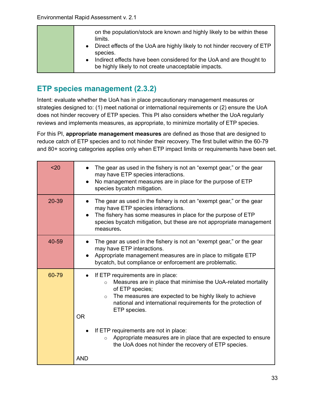| on the population/stock are known and highly likely to be within these<br>limits.<br>• Direct effects of the UoA are highly likely to not hinder recovery of ETP<br>species. |
|------------------------------------------------------------------------------------------------------------------------------------------------------------------------------|
| Indirect effects have been considered for the UoA and are thought to<br>$\bullet$<br>be highly likely to not create unacceptable impacts.                                    |

### <span id="page-32-0"></span>**ETP species management (2.3.2)**

Intent: evaluate whether the UoA has in place precautionary management measures or strategies designed to: (1) meet national or international requirements or (2) ensure the UoA does not hinder recovery of ETP species. This PI also considers whether the UoA regularly reviews and implements measures, as appropriate, to minimize mortality of ETP species.

For this PI, **appropriate management measures** are defined as those that are designed to reduce catch of ETP species and to not hinder their recovery. The first bullet within the 60-79 and 80+ scoring categories applies only when ETP impact limits or requirements have been set.

| $20$  | The gear as used in the fishery is not an "exempt gear," or the gear<br>may have ETP species interactions.<br>No management measures are in place for the purpose of ETP<br>species bycatch mitigation.                                                                                               |
|-------|-------------------------------------------------------------------------------------------------------------------------------------------------------------------------------------------------------------------------------------------------------------------------------------------------------|
| 20-39 | The gear as used in the fishery is not an "exempt gear," or the gear<br>may have ETP species interactions.<br>The fishery has some measures in place for the purpose of ETP<br>species bycatch mitigation, but these are not appropriate management<br>measures.                                      |
| 40-59 | The gear as used in the fishery is not an "exempt gear," or the gear<br>may have ETP interactions.<br>Appropriate management measures are in place to mitigate ETP<br>bycatch, but compliance or enforcement are problematic.                                                                         |
| 60-79 | If ETP requirements are in place:<br>Measures are in place that minimise the UoA-related mortality<br>$\circ$<br>of ETP species;<br>The measures are expected to be highly likely to achieve<br>$\circ$<br>national and international requirements for the protection of<br>ETP species.<br><b>OR</b> |
|       | If ETP requirements are not in place:<br>Appropriate measures are in place that are expected to ensure<br>$\circ$<br>the UoA does not hinder the recovery of ETP species.<br><b>AND</b>                                                                                                               |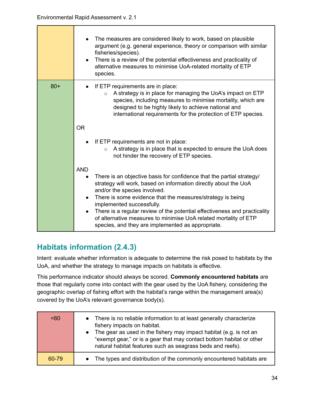┱

|       | The measures are considered likely to work, based on plausible<br>argument (e.g. general experience, theory or comparison with similar<br>fisheries/species).<br>There is a review of the potential effectiveness and practicality of<br>$\bullet$<br>alternative measures to minimise UoA-related mortality of ETP<br>species.                                                                                                                                                         |
|-------|-----------------------------------------------------------------------------------------------------------------------------------------------------------------------------------------------------------------------------------------------------------------------------------------------------------------------------------------------------------------------------------------------------------------------------------------------------------------------------------------|
| $80+$ | If ETP requirements are in place:<br>A strategy is in place for managing the UoA's impact on ETP<br>$\circ$<br>species, including measures to minimise mortality, which are<br>designed to be highly likely to achieve national and<br>international requirements for the protection of ETP species.                                                                                                                                                                                    |
|       | <b>OR</b>                                                                                                                                                                                                                                                                                                                                                                                                                                                                               |
|       | If ETP requirements are not in place:<br>A strategy is in place that is expected to ensure the UoA does<br>$\circ$<br>not hinder the recovery of ETP species.                                                                                                                                                                                                                                                                                                                           |
|       | <b>AND</b><br>There is an objective basis for confidence that the partial strategy/<br>strategy will work, based on information directly about the UoA<br>and/or the species involved.<br>There is some evidence that the measures/strategy is being<br>implemented successfully.<br>There is a regular review of the potential effectiveness and practicality<br>of alternative measures to minimise UoA related mortality of ETP<br>species, and they are implemented as appropriate. |

# <span id="page-33-0"></span>**Habitats information (2.4.3)**

Intent: evaluate whether information is adequate to determine the risk posed to habitats by the UoA, and whether the strategy to manage impacts on habitats is effective.

This performance indicator should always be scored. **Commonly encountered habitats** are those that regularly come into contact with the gear used by the UoA fishery, considering the geographic overlap of fishing effort with the habitat's range within the management area(s) covered by the UoA's relevant governance body(s).

| < 60  | • There is no reliable information to at least generally characterize<br>fishery impacts on habitat.<br>• The gear as used in the fishery may impact habitat (e.g. is not an<br>"exempt gear," or is a gear that may contact bottom habitat or other<br>natural habitat features such as seagrass beds and reefs). |
|-------|--------------------------------------------------------------------------------------------------------------------------------------------------------------------------------------------------------------------------------------------------------------------------------------------------------------------|
| 60-79 | • The types and distribution of the commonly encountered habitats are                                                                                                                                                                                                                                              |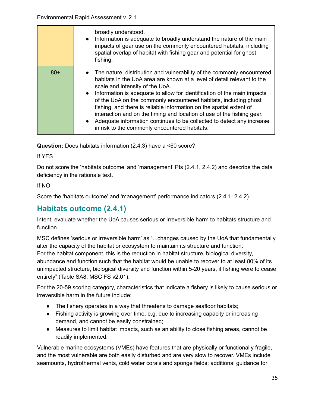|       | broadly understood.<br>• Information is adequate to broadly understand the nature of the main<br>impacts of gear use on the commonly encountered habitats, including<br>spatial overlap of habitat with fishing gear and potential for ghost<br>fishing.                                                                                                                                                                                                                                                                                                                                                                                   |
|-------|--------------------------------------------------------------------------------------------------------------------------------------------------------------------------------------------------------------------------------------------------------------------------------------------------------------------------------------------------------------------------------------------------------------------------------------------------------------------------------------------------------------------------------------------------------------------------------------------------------------------------------------------|
| $80+$ | • The nature, distribution and vulnerability of the commonly encountered<br>habitats in the UoA area are known at a level of detail relevant to the<br>scale and intensity of the UoA.<br>Information is adequate to allow for identification of the main impacts<br>$\bullet$<br>of the UoA on the commonly encountered habitats, including ghost<br>fishing, and there is reliable information on the spatial extent of<br>interaction and on the timing and location of use of the fishing gear.<br>Adequate information continues to be collected to detect any increase<br>$\bullet$<br>in risk to the commonly encountered habitats. |

**Question:** Does habitats information (2.4.3) have a <60 score?

If YES

Do not score the 'habitats outcome' and 'management' PIs (2.4.1, 2.4.2) and describe the data deficiency in the rationale text.

#### If NO

Score the 'habitats outcome' and 'management' performance indicators (2.4.1, 2.4.2).

### <span id="page-34-0"></span>**Habitats outcome (2.4.1)**

Intent: evaluate whether the UoA causes serious or irreversible harm to habitats structure and function.

MSC defines 'serious or irreversible harm' as "...changes caused by the UoA that fundamentally alter the capacity of the habitat or ecosystem to maintain its structure and function. For the habitat component, this is the reduction in habitat structure, biological diversity, abundance and function such that the habitat would be unable to recover to at least 80% of its unimpacted structure, biological diversity and function within 5-20 years, if fishing were to cease entirely" (Table SA8, MSC FS v2.01).

For the 20-59 scoring category, characteristics that indicate a fishery is likely to cause serious or irreversible harm in the future include:

- The fishery operates in a way that threatens to damage seafloor habitats;
- Fishing activity is growing over time, e.g. due to increasing capacity or increasing demand, and cannot be easily constrained;
- Measures to limit habitat impacts, such as an ability to close fishing areas, cannot be readily implemented.

Vulnerable marine ecosystems (VMEs) have features that are physically or functionally fragile, and the most vulnerable are both easily disturbed and are very slow to recover. VMEs include seamounts, hydrothermal vents, cold water corals and sponge fields; additional guidance for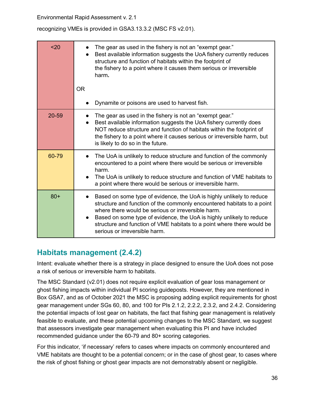recognizing VMEs is provided in GSA3.13.3.2 (MSC FS v2.01).

| $20$   | The gear as used in the fishery is not an "exempt gear."<br>Best available information suggests the UoA fishery currently reduces<br>structure and function of habitats within the footprint of<br>the fishery to a point where it causes them serious or irreversible<br>harm.                                                                                                                                   |
|--------|-------------------------------------------------------------------------------------------------------------------------------------------------------------------------------------------------------------------------------------------------------------------------------------------------------------------------------------------------------------------------------------------------------------------|
|        | <b>OR</b>                                                                                                                                                                                                                                                                                                                                                                                                         |
|        | Dynamite or poisons are used to harvest fish.                                                                                                                                                                                                                                                                                                                                                                     |
| 20-59  | The gear as used in the fishery is not an "exempt gear."<br>Best available information suggests the UoA fishery currently does<br>NOT reduce structure and function of habitats within the footprint of<br>the fishery to a point where it causes serious or irreversible harm, but<br>is likely to do so in the future.                                                                                          |
| 60-79  | The UoA is unlikely to reduce structure and function of the commonly<br>encountered to a point where there would be serious or irreversible<br>harm.<br>The UoA is unlikely to reduce structure and function of VME habitats to<br>a point where there would be serious or irreversible harm.                                                                                                                     |
| $80 +$ | Based on some type of evidence, the UoA is highly unlikely to reduce<br>$\bullet$<br>structure and function of the commonly encountered habitats to a point<br>where there would be serious or irreversible harm.<br>Based on some type of evidence, the UoA is highly unlikely to reduce<br>$\bullet$<br>structure and function of VME habitats to a point where there would be<br>serious or irreversible harm. |

# <span id="page-35-0"></span>**Habitats management (2.4.2)**

Intent: evaluate whether there is a strategy in place designed to ensure the UoA does not pose a risk of serious or irreversible harm to habitats.

The MSC Standard (v2.01) does not require explicit evaluation of gear loss management or ghost fishing impacts within individual PI scoring guideposts. However, they are mentioned in Box GSA7, and as of October 2021 the MSC is proposing adding explicit requirements for ghost gear management under SGs 60, 80, and 100 for PIs 2.1.2, 2.2.2, 2.3.2, and 2.4.2. Considering the potential impacts of lost gear on habitats, the fact that fishing gear management is relatively feasible to evaluate, and these potential upcoming changes to the MSC Standard, we suggest that assessors investigate gear management when evaluating this PI and have included recommended guidance under the 60-79 and 80+ scoring categories.

For this indicator, 'if necessary' refers to cases where impacts on commonly encountered and VME habitats are thought to be a potential concern; or in the case of ghost gear, to cases where the risk of ghost fishing or ghost gear impacts are not demonstrably absent or negligible.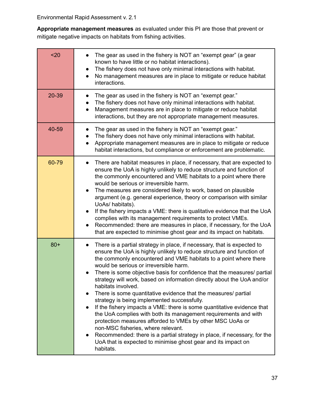**Appropriate management measures** as evaluated under this PI are those that prevent or mitigate negative impacts on habitats from fishing activities.

| $20$  | The gear as used in the fishery is NOT an "exempt gear" (a gear<br>known to have little or no habitat interactions).<br>The fishery does not have only minimal interactions with habitat.<br>$\bullet$<br>No management measures are in place to mitigate or reduce habitat<br>$\bullet$<br>interactions.                                                                                                                                                                                                                                                                                                                                                                                                                                                                                                                                                                                                                                                                                                   |
|-------|-------------------------------------------------------------------------------------------------------------------------------------------------------------------------------------------------------------------------------------------------------------------------------------------------------------------------------------------------------------------------------------------------------------------------------------------------------------------------------------------------------------------------------------------------------------------------------------------------------------------------------------------------------------------------------------------------------------------------------------------------------------------------------------------------------------------------------------------------------------------------------------------------------------------------------------------------------------------------------------------------------------|
| 20-39 | The gear as used in the fishery is NOT an "exempt gear."<br>The fishery does not have only minimal interactions with habitat.<br>Management measures are in place to mitigate or reduce habitat<br>$\bullet$<br>interactions, but they are not appropriate management measures.                                                                                                                                                                                                                                                                                                                                                                                                                                                                                                                                                                                                                                                                                                                             |
| 40-59 | The gear as used in the fishery is NOT an "exempt gear."<br>The fishery does not have only minimal interactions with habitat.<br>Appropriate management measures are in place to mitigate or reduce<br>$\bullet$<br>habitat interactions, but compliance or enforcement are problematic.                                                                                                                                                                                                                                                                                                                                                                                                                                                                                                                                                                                                                                                                                                                    |
| 60-79 | There are habitat measures in place, if necessary, that are expected to<br>$\bullet$<br>ensure the UoA is highly unlikely to reduce structure and function of<br>the commonly encountered and VME habitats to a point where there<br>would be serious or irreversible harm.<br>The measures are considered likely to work, based on plausible<br>$\bullet$<br>argument (e.g. general experience, theory or comparison with similar<br>UoAs/habitats).<br>If the fishery impacts a VME: there is qualitative evidence that the UoA<br>$\bullet$<br>complies with its management requirements to protect VMEs.<br>Recommended: there are measures in place, if necessary, for the UoA<br>that are expected to minimise ghost gear and its impact on habitats.                                                                                                                                                                                                                                                 |
| $80+$ | There is a partial strategy in place, if necessary, that is expected to<br>$\bullet$<br>ensure the UoA is highly unlikely to reduce structure and function of<br>the commonly encountered and VME habitats to a point where there<br>would be serious or irreversible harm.<br>There is some objective basis for confidence that the measures/ partial<br>strategy will work, based on information directly about the UoA and/or<br>habitats involved.<br>There is some quantitative evidence that the measures/ partial<br>strategy is being implemented successfully.<br>If the fishery impacts a VME: there is some quantitative evidence that<br>$\bullet$<br>the UoA complies with both its management requirements and with<br>protection measures afforded to VMEs by other MSC UoAs or<br>non-MSC fisheries, where relevant.<br>Recommended: there is a partial strategy in place, if necessary, for the<br>$\bullet$<br>UoA that is expected to minimise ghost gear and its impact on<br>habitats. |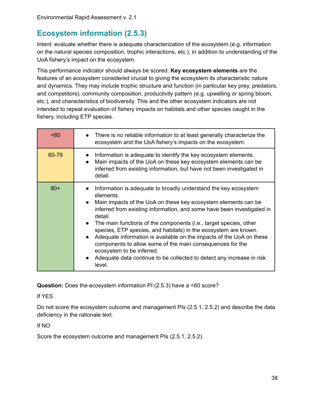# <span id="page-37-0"></span>**Ecosystem information (2.5.3)**

Intent: evaluate whether there is adequate characterization of the ecosystem (e.g. information on the natural species composition, trophic interactions, etc.), in addition to understanding of the UoA fishery's impact on the ecosystem.

This performance indicator should always be scored. **Key ecosystem elements** are the features of an ecosystem considered crucial to giving the ecosystem its characteristic nature and dynamics. They may include trophic structure and function (in particular key prey, predators, and competitors), community composition, productivity pattern (e.g. upwelling or spring bloom, etc.), and characteristics of biodiversity. This and the other ecosystem indicators are not intended to repeat evaluation of fishery impacts on habitats and other species caught in the fishery, including ETP species.

| $60$  | There is no reliable information to at least generally characterize the<br>ecosystem and the UoA fishery's impacts on the ecosystem.                                                                                                                                                                                                                                                                                                                                                                                                                                                                                                          |
|-------|-----------------------------------------------------------------------------------------------------------------------------------------------------------------------------------------------------------------------------------------------------------------------------------------------------------------------------------------------------------------------------------------------------------------------------------------------------------------------------------------------------------------------------------------------------------------------------------------------------------------------------------------------|
| 60-79 | Information is adequate to identify the key ecosystem elements.<br>Main impacts of the UoA on these key ecosystem elements can be<br>inferred from existing information, but have not been investigated in<br>detail.                                                                                                                                                                                                                                                                                                                                                                                                                         |
| $80+$ | Information is adequate to broadly understand the key ecosystem<br>elements.<br>Main impacts of the UoA on these key ecosystem elements can be<br>inferred from existing information, and some have been investigated in<br>detail.<br>The main functions of the components (i.e., target species, other<br>$\bullet$<br>species, ETP species, and habitats) in the ecosystem are known.<br>Adequate information is available on the impacts of the UoA on these<br>components to allow some of the main consequences for the<br>ecosystem to be inferred.<br>Adequate data continue to be collected to detect any increase in risk<br>level. |

**Question:** Does the ecosystem information PI (2.5.3) have a <60 score?

#### If YES

Do not score the ecosystem outcome and management PIs (2.5.1, 2.5.2) and describe the data deficiency in the rationale text.

#### If NO

Score the ecosystem outcome and management PIs (2.5.1, 2.5.2).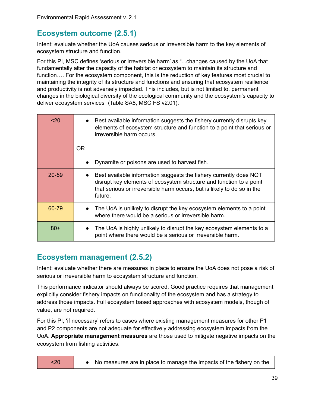### <span id="page-38-0"></span>**Ecosystem outcome (2.5.1)**

Intent: evaluate whether the UoA causes serious or irreversible harm to the key elements of ecosystem structure and function.

For this PI, MSC defines 'serious or irreversible harm' as "...changes caused by the UoA that fundamentally alter the capacity of the habitat or ecosystem to maintain its structure and function…. For the ecosystem component, this is the reduction of key features most crucial to maintaining the integrity of its structure and functions and ensuring that ecosystem resilience and productivity is not adversely impacted. This includes, but is not limited to, permanent changes in the biological diversity of the ecological community and the ecosystem's capacity to deliver ecosystem services" (Table SA8, MSC FS v2.01).

| 20        | Best available information suggests the fishery currently disrupts key<br>elements of ecosystem structure and function to a point that serious or<br>irreversible harm occurs.<br><b>OR</b>                                     |
|-----------|---------------------------------------------------------------------------------------------------------------------------------------------------------------------------------------------------------------------------------|
|           | Dynamite or poisons are used to harvest fish.                                                                                                                                                                                   |
| $20 - 59$ | Best available information suggests the fishery currently does NOT<br>disrupt key elements of ecosystem structure and function to a point<br>that serious or irreversible harm occurs, but is likely to do so in the<br>future. |
| 60-79     | The UoA is unlikely to disrupt the key ecosystem elements to a point<br>where there would be a serious or irreversible harm.                                                                                                    |
| $80+$     | The UoA is highly unlikely to disrupt the key ecosystem elements to a<br>point where there would be a serious or irreversible harm.                                                                                             |

### <span id="page-38-1"></span>**Ecosystem management (2.5.2)**

Intent: evaluate whether there are measures in place to ensure the UoA does not pose a risk of serious or irreversible harm to ecosystem structure and function.

This performance indicator should always be scored. Good practice requires that management explicitly consider fishery impacts on functionality of the ecosystem and has a strategy to address those impacts. Full ecosystem based approaches with ecosystem models, though of value, are not required.

For this PI, 'if necessary' refers to cases where existing management measures for other P1 and P2 components are not adequate for effectively addressing ecosystem impacts from the UoA. **Appropriate management measures** are those used to mitigate negative impacts on the ecosystem from fishing activities.

| $20$ |  | • No measures are in place to manage the impacts of the fishery on the |  |  |  |  |  |
|------|--|------------------------------------------------------------------------|--|--|--|--|--|
|------|--|------------------------------------------------------------------------|--|--|--|--|--|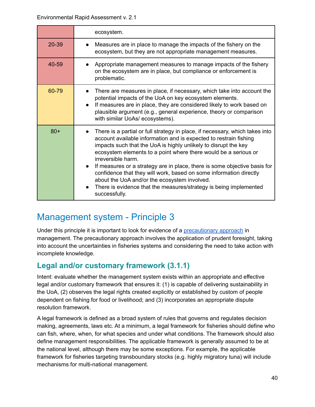|       | ecosystem.                                                                                                                                                                                                                                                                                                                                                                                                                                                                                                                                                                                             |
|-------|--------------------------------------------------------------------------------------------------------------------------------------------------------------------------------------------------------------------------------------------------------------------------------------------------------------------------------------------------------------------------------------------------------------------------------------------------------------------------------------------------------------------------------------------------------------------------------------------------------|
| 20-39 | Measures are in place to manage the impacts of the fishery on the<br>ecosystem, but they are not appropriate management measures.                                                                                                                                                                                                                                                                                                                                                                                                                                                                      |
| 40-59 | Appropriate management measures to manage impacts of the fishery<br>on the ecosystem are in place, but compliance or enforcement is<br>problematic.                                                                                                                                                                                                                                                                                                                                                                                                                                                    |
| 60-79 | There are measures in place, if necessary, which take into account the<br>potential impacts of the UoA on key ecosystem elements.<br>If measures are in place, they are considered likely to work based on<br>plausible argument (e.g., general experience, theory or comparison<br>with similar UoAs/ ecosystems).                                                                                                                                                                                                                                                                                    |
| $80+$ | There is a partial or full strategy in place, if necessary, which takes into<br>account available information and is expected to restrain fishing<br>impacts such that the UoA is highly unlikely to disrupt the key<br>ecosystem elements to a point where there would be a serious or<br>irreversible harm.<br>If measures or a strategy are in place, there is some objective basis for<br>confidence that they will work, based on some information directly<br>about the UoA and/or the ecosystem involved.<br>There is evidence that the measures/strategy is being implemented<br>successfully. |

# <span id="page-39-0"></span>Management system - Principle 3

Under this principle it is important to look for evidence of a [precautionary](#page-53-0) approach in management. The precautionary approach involves the application of prudent foresight, taking into account the uncertainties in fisheries systems and considering the need to take action with incomplete knowledge.

### <span id="page-39-1"></span>**Legal and/or customary framework (3.1.1)**

Intent: evaluate whether the management system exists within an appropriate and effective legal and/or customary framework that ensures it: (1) is capable of delivering sustainability in the UoA, (2) observes the legal rights created explicitly or established by custom of people dependent on fishing for food or livelihood; and (3) incorporates an appropriate dispute resolution framework.

A legal framework is defined as a broad system of rules that governs and regulates decision making, agreements, laws etc. At a minimum, a legal framework for fisheries should define who can fish, where, when, for what species and under what conditions. The framework should also define management responsibilities. The applicable framework is generally assumed to be at the national level, although there may be some exceptions. For example, the applicable framework for fisheries targeting transboundary stocks (e.g. highly migratory tuna) will include mechanisms for multi-national management.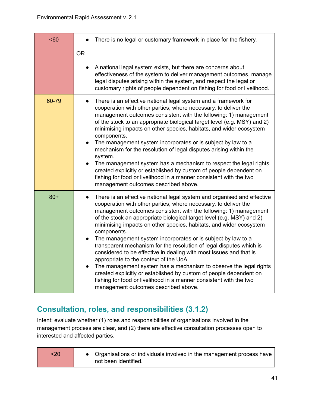| $60$  | There is no legal or customary framework in place for the fishery.                                                                                                                                                                                                                                                                                                                                                                                                                                                                                                                                                                                                                                                                                                                                                                                                                           |
|-------|----------------------------------------------------------------------------------------------------------------------------------------------------------------------------------------------------------------------------------------------------------------------------------------------------------------------------------------------------------------------------------------------------------------------------------------------------------------------------------------------------------------------------------------------------------------------------------------------------------------------------------------------------------------------------------------------------------------------------------------------------------------------------------------------------------------------------------------------------------------------------------------------|
|       | <b>OR</b>                                                                                                                                                                                                                                                                                                                                                                                                                                                                                                                                                                                                                                                                                                                                                                                                                                                                                    |
|       | A national legal system exists, but there are concerns about<br>effectiveness of the system to deliver management outcomes, manage<br>legal disputes arising within the system, and respect the legal or<br>customary rights of people dependent on fishing for food or livelihood.                                                                                                                                                                                                                                                                                                                                                                                                                                                                                                                                                                                                          |
| 60-79 | There is an effective national legal system and a framework for<br>$\bullet$<br>cooperation with other parties, where necessary, to deliver the<br>management outcomes consistent with the following: 1) management<br>of the stock to an appropriate biological target level (e.g. MSY) and 2)<br>minimising impacts on other species, habitats, and wider ecosystem<br>components.<br>The management system incorporates or is subject by law to a<br>$\bullet$<br>mechanism for the resolution of legal disputes arising within the<br>system.<br>The management system has a mechanism to respect the legal rights<br>$\bullet$<br>created explicitly or established by custom of people dependent on<br>fishing for food or livelihood in a manner consistent with the two<br>management outcomes described above.                                                                      |
| $80+$ | There is an effective national legal system and organised and effective<br>cooperation with other parties, where necessary, to deliver the<br>management outcomes consistent with the following: 1) management<br>of the stock an appropriate biological target level (e.g. MSY) and 2)<br>minimising impacts on other species, habitats, and wider ecosystem<br>components.<br>The management system incorporates or is subject by law to a<br>transparent mechanism for the resolution of legal disputes which is<br>considered to be effective in dealing with most issues and that is<br>appropriate to the context of the UoA.<br>The management system has a mechanism to observe the legal rights<br>created explicitly or established by custom of people dependent on<br>fishing for food or livelihood in a manner consistent with the two<br>management outcomes described above. |

# <span id="page-40-0"></span>**Consultation, roles, and responsibilities (3.1.2)**

Intent: evaluate whether (1) roles and responsibilities of organisations involved in the management process are clear, and (2) there are effective consultation processes open to interested and affected parties.

| <20 | • Organisations or individuals involved in the management process have  <br>not been identified. |
|-----|--------------------------------------------------------------------------------------------------|
|-----|--------------------------------------------------------------------------------------------------|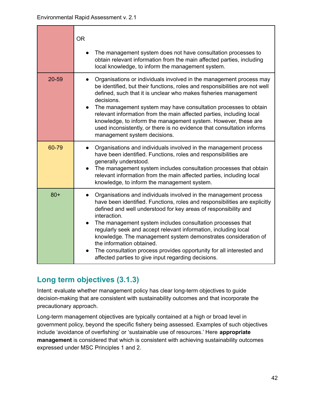|       | <b>OR</b><br>The management system does not have consultation processes to<br>obtain relevant information from the main affected parties, including<br>local knowledge, to inform the management system.                                                                                                                                                                                                                                                                                                                                                                                         |
|-------|--------------------------------------------------------------------------------------------------------------------------------------------------------------------------------------------------------------------------------------------------------------------------------------------------------------------------------------------------------------------------------------------------------------------------------------------------------------------------------------------------------------------------------------------------------------------------------------------------|
| 20-59 | Organisations or individuals involved in the management process may<br>be identified, but their functions, roles and responsibilities are not well<br>defined, such that it is unclear who makes fisheries management<br>decisions.<br>The management system may have consultation processes to obtain<br>$\bullet$<br>relevant information from the main affected parties, including local<br>knowledge, to inform the management system. However, these are<br>used inconsistently, or there is no evidence that consultation informs<br>management system decisions.                          |
| 60-79 | Organisations and individuals involved in the management process<br>have been identified. Functions, roles and responsibilities are<br>generally understood.<br>The management system includes consultation processes that obtain<br>relevant information from the main affected parties, including local<br>knowledge, to inform the management system.                                                                                                                                                                                                                                         |
| $80+$ | Organisations and individuals involved in the management process<br>have been identified. Functions, roles and responsibilities are explicitly<br>defined and well understood for key areas of responsibility and<br>interaction.<br>The management system includes consultation processes that<br>regularly seek and accept relevant information, including local<br>knowledge. The management system demonstrates consideration of<br>the information obtained.<br>The consultation process provides opportunity for all interested and<br>affected parties to give input regarding decisions. |

# <span id="page-41-0"></span>**Long term objectives (3.1.3)**

Intent: evaluate whether management policy has clear long-term objectives to guide decision-making that are consistent with sustainability outcomes and that incorporate the precautionary approach.

Long-term management objectives are typically contained at a high or broad level in government policy, beyond the specific fishery being assessed. Examples of such objectives include 'avoidance of overfishing' or 'sustainable use of resources.' Here **appropriate management** is considered that which is consistent with achieving sustainability outcomes expressed under MSC Principles 1 and 2.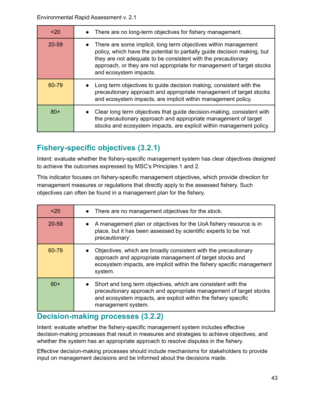| 20    | There are no long-term objectives for fishery management.                                                                                                                                                                                                                                                                    |
|-------|------------------------------------------------------------------------------------------------------------------------------------------------------------------------------------------------------------------------------------------------------------------------------------------------------------------------------|
| 20-59 | There are some implicit, long term objectives within management<br>$\bullet$<br>policy, which have the potential to partially guide decision making, but<br>they are not adequate to be consistent with the precautionary<br>approach, or they are not appropriate for management of target stocks<br>and ecosystem impacts. |
| 60-79 | Long term objectives to guide decision making, consistent with the<br>precautionary approach and appropriate management of target stocks<br>and ecosystem impacts, are implicit within management policy.                                                                                                                    |
| $80+$ | Clear long term objectives that guide decision-making, consistent with<br>the precautionary approach and appropriate management of target<br>stocks and ecosystem impacts, are explicit within management policy.                                                                                                            |

# <span id="page-42-0"></span>**Fishery-specific objectives (3.2.1)**

Intent: evaluate whether the fishery-specific management system has clear objectives designed to achieve the outcomes expressed by MSC's Principles 1 and 2.

This indicator focuses on fishery-specific management objectives, which provide direction for management measures or regulations that directly apply to the assessed fishery. Such objectives can often be found in a management plan for the fishery.

| $20$  | • There are no management objectives for the stock.                                                                                                                                                                          |
|-------|------------------------------------------------------------------------------------------------------------------------------------------------------------------------------------------------------------------------------|
| 20-59 | A management plan or objectives for the UoA fishery resource is in<br>place, but it has been assessed by scientific experts to be 'not<br>precautionary'.                                                                    |
| 60-79 | Objectives, which are broadly consistent with the precautionary<br>approach and appropriate management of target stocks and<br>ecosystem impacts, are implicit within the fishery specific management<br>system.             |
| $80+$ | Short and long term objectives, which are consistent with the<br>precautionary approach and appropriate management of target stocks<br>and ecosystem impacts, are explicit within the fishery specific<br>management system. |

### <span id="page-42-1"></span>**Decision-making processes (3.2.2)**

Intent: evaluate whether the fishery-specific management system includes effective decision-making processes that result in measures and strategies to achieve objectives, and whether the system has an appropriate approach to resolve disputes in the fishery.

Effective decision-making processes should include mechanisms for stakeholders to provide input on management decisions and be informed about the decisions made.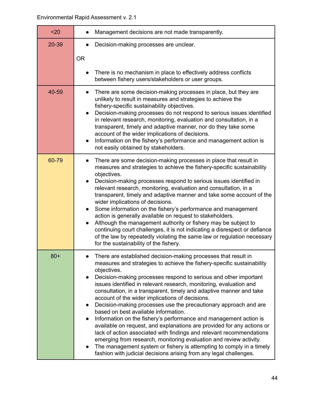| $20$  | Management decisions are not made transparently.                                                                                                                                                                                                                                                                                                                                                                                                                                                                                                                                                                                                                                                                                                                                                                                                                                                                                                                                                             |
|-------|--------------------------------------------------------------------------------------------------------------------------------------------------------------------------------------------------------------------------------------------------------------------------------------------------------------------------------------------------------------------------------------------------------------------------------------------------------------------------------------------------------------------------------------------------------------------------------------------------------------------------------------------------------------------------------------------------------------------------------------------------------------------------------------------------------------------------------------------------------------------------------------------------------------------------------------------------------------------------------------------------------------|
| 20-39 | Decision-making processes are unclear.                                                                                                                                                                                                                                                                                                                                                                                                                                                                                                                                                                                                                                                                                                                                                                                                                                                                                                                                                                       |
|       | <b>OR</b>                                                                                                                                                                                                                                                                                                                                                                                                                                                                                                                                                                                                                                                                                                                                                                                                                                                                                                                                                                                                    |
|       | There is no mechanism in place to effectively address conflicts<br>between fishery users/stakeholders or user groups.                                                                                                                                                                                                                                                                                                                                                                                                                                                                                                                                                                                                                                                                                                                                                                                                                                                                                        |
| 40-59 | There are some decision-making processes in place, but they are<br>unlikely to result in measures and strategies to achieve the<br>fishery-specific sustainability objectives.<br>Decision-making processes do not respond to serious issues identified<br>$\bullet$<br>in relevant research, monitoring, evaluation and consultation, in a<br>transparent, timely and adaptive manner, nor do they take some<br>account of the wider implications of decisions.<br>Information on the fishery's performance and management action is<br>$\bullet$<br>not easily obtained by stakeholders.                                                                                                                                                                                                                                                                                                                                                                                                                   |
| 60-79 | There are some decision-making processes in place that result in<br>measures and strategies to achieve the fishery-specific sustainability<br>objectives.<br>Decision-making processes respond to serious issues identified in<br>$\bullet$<br>relevant research, monitoring, evaluation and consultation, in a<br>transparent, timely and adaptive manner and take some account of the<br>wider implications of decisions.<br>Some information on the fishery's performance and management<br>$\bullet$<br>action is generally available on request to stakeholders.<br>Although the management authority or fishery may be subject to<br>continuing court challenges, it is not indicating a disrespect or defiance<br>of the law by repeatedly violating the same law or regulation necessary<br>for the sustainability of the fishery.                                                                                                                                                                   |
| $80+$ | There are established decision-making processes that result in<br>measures and strategies to achieve the fishery-specific sustainability<br>objectives.<br>Decision-making processes respond to serious and other important<br>$\bullet$<br>issues identified in relevant research, monitoring, evaluation and<br>consultation, in a transparent, timely and adaptive manner and take<br>account of the wider implications of decisions.<br>Decision-making processes use the precautionary approach and are<br>$\bullet$<br>based on best available information.<br>Information on the fishery's performance and management action is<br>available on request, and explanations are provided for any actions or<br>lack of action associated with findings and relevant recommendations<br>emerging from research, monitoring evaluation and review activity.<br>The management system or fishery is attempting to comply in a timely<br>fashion with judicial decisions arising from any legal challenges. |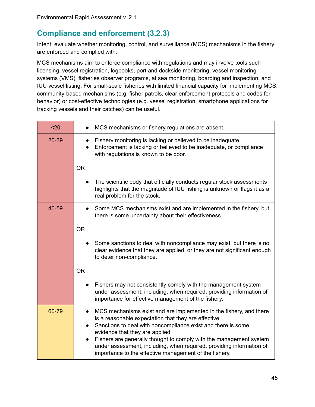# <span id="page-44-0"></span>**Compliance and enforcement (3.2.3)**

Intent: evaluate whether monitoring, control, and surveillance (MCS) mechanisms in the fishery are enforced and complied with.

MCS mechanisms aim to enforce compliance with regulations and may involve tools such licensing, vessel registration, logbooks, port and dockside monitoring, vessel monitoring systems (VMS), fisheries observer programs, at sea monitoring, boarding and inspection, and IUU vessel listing. For small-scale fisheries with limited financial capacity for implementing MCS, community-based mechanisms (e.g. fisher patrols, clear enforcement protocols and codes for behavior) or cost-effective technologies (e.g. vessel registration, smartphone applications for tracking vessels and their catches) can be useful.

| $20$  | MCS mechanisms or fishery regulations are absent.                                                                                                                                                                                                                                                                                                                                                                                     |  |  |  |
|-------|---------------------------------------------------------------------------------------------------------------------------------------------------------------------------------------------------------------------------------------------------------------------------------------------------------------------------------------------------------------------------------------------------------------------------------------|--|--|--|
| 20-39 | Fishery monitoring is lacking or believed to be inadequate.<br>Enforcement is lacking or believed to be inadequate, or compliance<br>with regulations is known to be poor.                                                                                                                                                                                                                                                            |  |  |  |
|       | <b>OR</b>                                                                                                                                                                                                                                                                                                                                                                                                                             |  |  |  |
|       | The scientific body that officially conducts regular stock assessments<br>highlights that the magnitude of IUU fishing is unknown or flags it as a<br>real problem for the stock.                                                                                                                                                                                                                                                     |  |  |  |
| 40-59 | Some MCS mechanisms exist and are implemented in the fishery, but<br>there is some uncertainty about their effectiveness.                                                                                                                                                                                                                                                                                                             |  |  |  |
|       | <b>OR</b>                                                                                                                                                                                                                                                                                                                                                                                                                             |  |  |  |
|       | Some sanctions to deal with noncompliance may exist, but there is no<br>clear evidence that they are applied, or they are not significant enough<br>to deter non-compliance.                                                                                                                                                                                                                                                          |  |  |  |
|       | <b>OR</b>                                                                                                                                                                                                                                                                                                                                                                                                                             |  |  |  |
|       | Fishers may not consistently comply with the management system<br>under assessment, including, when required, providing information of<br>importance for effective management of the fishery.                                                                                                                                                                                                                                         |  |  |  |
| 60-79 | MCS mechanisms exist and are implemented in the fishery, and there<br>is a reasonable expectation that they are effective.<br>Sanctions to deal with noncompliance exist and there is some<br>evidence that they are applied.<br>Fishers are generally thought to comply with the management system<br>under assessment, including, when required, providing information of<br>importance to the effective management of the fishery. |  |  |  |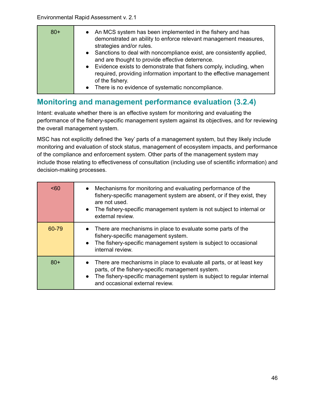| $80+$ | • An MCS system has been implemented in the fishery and has<br>demonstrated an ability to enforce relevant management measures,<br>strategies and/or rules.<br>• Sanctions to deal with noncompliance exist, are consistently applied, |
|-------|----------------------------------------------------------------------------------------------------------------------------------------------------------------------------------------------------------------------------------------|
|       | and are thought to provide effective deterrence.<br>• Evidence exists to demonstrate that fishers comply, including, when                                                                                                              |
|       | required, providing information important to the effective management<br>of the fishery.                                                                                                                                               |
|       | There is no evidence of systematic noncompliance.<br>$\bullet$                                                                                                                                                                         |

### <span id="page-45-0"></span>**Monitoring and management performance evaluation (3.2.4)**

Intent: evaluate whether there is an effective system for monitoring and evaluating the performance of the fishery-specific management system against its objectives, and for reviewing the overall management system.

MSC has not explicitly defined the 'key' parts of a management system, but they likely include monitoring and evaluation of stock status, management of ecosystem impacts, and performance of the compliance and enforcement system. Other parts of the management system may include those relating to effectiveness of consultation (including use of scientific information) and decision-making processes.

| <60   | • Mechanisms for monitoring and evaluating performance of the<br>fishery-specific management system are absent, or if they exist, they<br>are not used.<br>The fishery-specific management system is not subject to internal or<br>$\bullet$<br>external review. |
|-------|------------------------------------------------------------------------------------------------------------------------------------------------------------------------------------------------------------------------------------------------------------------|
| 60-79 | • There are mechanisms in place to evaluate some parts of the<br>fishery-specific management system.<br>The fishery-specific management system is subject to occasional<br>$\bullet$<br>internal review.                                                         |
| $80+$ | There are mechanisms in place to evaluate all parts, or at least key<br>$\bullet$<br>parts, of the fishery-specific management system.<br>The fishery-specific management system is subject to regular internal<br>$\bullet$<br>and occasional external review.  |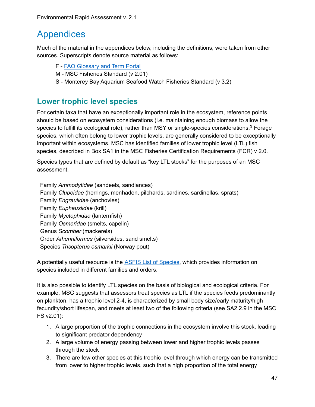# <span id="page-46-0"></span>Appendices

Much of the material in the appendices below, including the definitions, were taken from other sources. Superscripts denote source material as follows:

- F FAO [Glossary](http://www.fao.org/faoterm/collection/fisheries/en/) and Term Portal
- M MSC Fisheries Standard (v 2.01)
- S Monterey Bay Aquarium Seafood Watch Fisheries Standard (v 3.2)

### <span id="page-46-1"></span>**Lower trophic level species**

For certain taxa that have an exceptionally important role in the ecosystem, reference points should be based on ecosystem considerations (i.e. maintaining enough biomass to allow the species to fulfill its ecological role), rather than MSY or single-species considerations.<sup>s</sup> Forage species, which often belong to lower trophic levels, are generally considered to be exceptionally important within ecosystems. MSC has identified families of lower trophic level (LTL) fish species, described in Box SA1 in the MSC Fisheries Certification Requirements (FCR) v 2.0.

Species types that are defined by default as "key LTL stocks" for the purposes of an MSC assessment.

Family *Ammodytidae* (sandeels, sandlances) Family *Clupeidae* (herrings, menhaden, pilchards, sardines, sardinellas, sprats) Family *Engraulidae* (anchovies) Family *Euphausiidae* (krill) Family *Myctophidae* (lanternfish) Family *Osmeridae* (smelts, capelin) Genus *Scomber* (mackerels) Order *Atheriniformes* (silversides, sand smelts) Species *Trisopterus esmarkii* (Norway pout)

A potentially useful resource is the ASFIS List of [Species,](http://www.fao.org/fishery/collection/asfis/en) which provides information on species included in different families and orders.

It is also possible to identify LTL species on the basis of biological and ecological criteria. For example, MSC suggests that assessors treat species as LTL if the species feeds predominantly on plankton, has a trophic level 2-4, is characterized by small body size/early maturity/high fecundity/short lifespan, and meets at least two of the following criteria (see SA2.2.9 in the MSC FS v2.01):

- 1. A large proportion of the trophic connections in the ecosystem involve this stock, leading to significant predator dependency
- 2. A large volume of energy passing between lower and higher trophic levels passes through the stock
- 3. There are few other species at this trophic level through which energy can be transmitted from lower to higher trophic levels, such that a high proportion of the total energy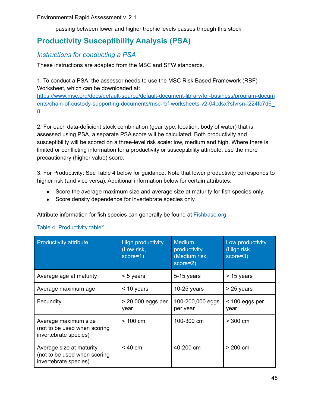passing between lower and higher trophic levels passes through this stock

# <span id="page-47-0"></span>**Productivity Susceptibility Analysis (PSA)**

### <span id="page-47-1"></span>*Instructions for conducting a PSA*

These instructions are adapted from the MSC and SFW standards.

1. To conduct a PSA, the assessor needs to use the MSC Risk Based Framework (RBF) Worksheet, which can be downloaded at:

[https://www.msc.org/docs/default-source/default-document-library/for-business/program-docum](https://www.msc.org/docs/default-source/default-document-library/for-business/program-documents/chain-of-custody-supporting-documents/msc-rbf-worksheets-v2-04.xlsx?sfvrsn=224fc7d6_8) [ents/chain-of-custody-supporting-documents/msc-rbf-worksheets-v2-04.xlsx?sfvrsn=224fc7d6\\_](https://www.msc.org/docs/default-source/default-document-library/for-business/program-documents/chain-of-custody-supporting-documents/msc-rbf-worksheets-v2-04.xlsx?sfvrsn=224fc7d6_8) [8](https://www.msc.org/docs/default-source/default-document-library/for-business/program-documents/chain-of-custody-supporting-documents/msc-rbf-worksheets-v2-04.xlsx?sfvrsn=224fc7d6_8)

2. For each data-deficient stock combination (gear type, location, body of water) that is assessed using PSA, a separate PSA score will be calculated. Both productivity and susceptibility will be scored on a three-level risk scale: low, medium and high. Where there is limited or conflicting information for a productivity or susceptibility attribute, use the more precautionary (higher value) score.

3. For Productivity: See Table 4 below for guidance. Note that lower productivity corresponds to higher risk (and vice versa). Additional information below for certain attributes:

- Score the average maximum size and average size at maturity for fish species only.
- Score density dependence for invertebrate species only.

Attribute information for fish species can generally be found at **[Fishbase.org](http://www.fishbase.org/search.php)** 

| <b>Productivity attribute</b>                                                     | <b>High productivity</b><br>(Low risk,<br>score=1) | <b>Medium</b><br>productivity<br>(Medium risk,<br>score=2) | Low productivity<br>(High risk,<br>score=3) |
|-----------------------------------------------------------------------------------|----------------------------------------------------|------------------------------------------------------------|---------------------------------------------|
| Average age at maturity                                                           | $< 5$ years                                        | 5-15 years                                                 | > 15 years                                  |
| Average maximum age                                                               | $<$ 10 years                                       | $10-25$ years                                              | $> 25$ years                                |
| Fecundity                                                                         | > 20,000 eggs per<br>year                          | 100-200,000 eggs<br>per year                               | $<$ 100 eggs per<br>year                    |
| Average maximum size<br>(not to be used when scoring<br>invertebrate species)     | $< 100 \text{ cm}$                                 | 100-300 cm                                                 | $>$ 300 cm                                  |
| Average size at maturity<br>(not to be used when scoring<br>invertebrate species) | < 40 cm                                            | 40-200 cm                                                  | $> 200 \text{ cm}$                          |

#### Table 4. Productivity table<sup>M</sup>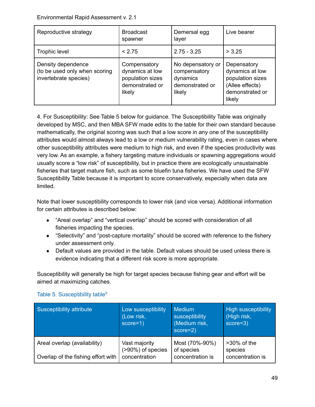| Reproductive strategy                                                        | <b>Broadcast</b><br>spawner                                                      | Demersal egg<br>layer                                                      | Live bearer                                                                                        |
|------------------------------------------------------------------------------|----------------------------------------------------------------------------------|----------------------------------------------------------------------------|----------------------------------------------------------------------------------------------------|
| Trophic level                                                                | < 2.75                                                                           | $2.75 - 3.25$                                                              | > 3.25                                                                                             |
| Density dependence<br>(to be used only when scoring<br>invertebrate species) | Compensatory<br>dynamics at low<br>population sizes<br>demonstrated or<br>likely | No depensatory or<br>compensatory<br>dynamics<br>demonstrated or<br>likely | Depensatory<br>dynamics at low<br>population sizes<br>(Allee effects)<br>demonstrated or<br>likely |

4. For Susceptibility: See Table 5 below for guidance. The Susceptibility Table was originally developed by MSC, and then MBA SFW made edits to the table for their own standard because mathematically, the original scoring was such that a low score in any one of the susceptibility attributes would almost always lead to a low or medium vulnerability rating, even in cases where other susceptibility attributes were medium to high risk, and even if the species productivity was very low. As an example, a fishery targeting mature individuals or spawning aggregations would usually score a "low risk" of susceptibility, but in practice there are ecologically unsustainable fisheries that target mature fish, such as some bluefin tuna fisheries. We have used the SFW Susceptibility Table because it is important to score conservatively, especially when data are limited.

Note that lower susceptibility corresponds to lower risk (and vice versa). Additional information for certain attributes is described below:

- "Areal overlap" and "vertical overlap" should be scored with consideration of all fisheries impacting the species.
- "Selectivity" and "post-capture mortality" should be scored with reference to the fishery under assessment only.
- Default values are provided in the table. Default values should be used unless there is evidence indicating that a different risk score is more appropriate.

Susceptibility will generally be high for target species because fishing gear and effort will be aimed at maximizing catches.

| Susceptibility attribute           | Low susceptibility<br>(Low risk,<br>score=1) | <b>Medium</b><br>susceptibility<br>(Medium risk,<br>score=2) | <b>High susceptibility</b><br>(High risk,<br>score=3) |
|------------------------------------|----------------------------------------------|--------------------------------------------------------------|-------------------------------------------------------|
| Areal overlap (availability)       | Vast majority<br>(>90%) of species           | Most (70%-90%)<br>of species                                 | $>30\%$ of the<br>species                             |
| Overlap of the fishing effort with | concentration                                | concentration is                                             | concentration is                                      |

### Table 5. Susceptibility table<sup>s</sup>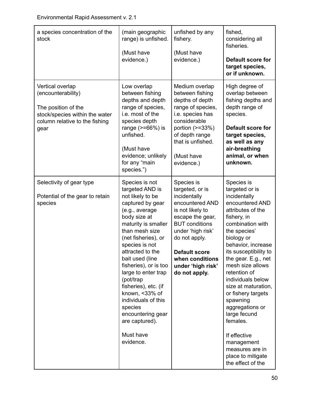| a species concentration of the<br>stock                                                                                                   | (main geographic<br>range) is unfished.<br>(Must have<br>evidence.)                                                                                                                                                                                                                                                                                                                                                                            | unfished by any<br>fishery.<br>(Must have<br>evidence.)                                                                                                                                                                                                  | fished,<br>considering all<br>fisheries.<br>Default score for<br>target species,<br>or if unknown.                                                                                                                                                                                                                                                                                                                                                                                      |
|-------------------------------------------------------------------------------------------------------------------------------------------|------------------------------------------------------------------------------------------------------------------------------------------------------------------------------------------------------------------------------------------------------------------------------------------------------------------------------------------------------------------------------------------------------------------------------------------------|----------------------------------------------------------------------------------------------------------------------------------------------------------------------------------------------------------------------------------------------------------|-----------------------------------------------------------------------------------------------------------------------------------------------------------------------------------------------------------------------------------------------------------------------------------------------------------------------------------------------------------------------------------------------------------------------------------------------------------------------------------------|
| Vertical overlap<br>(encounterability)<br>The position of the<br>stock/species within the water<br>column relative to the fishing<br>gear | Low overlap<br>between fishing<br>depths and depth<br>range of species,<br>i.e. most of the<br>species depth<br>range $(>=66%)$ is<br>unfished.<br>(Must have<br>evidence; unlikely<br>for any "main<br>species.")                                                                                                                                                                                                                             | Medium overlap<br>between fishing<br>depths of depth<br>range of species,<br>i.e. species has<br>considerable<br>portion $(>=33%)$<br>of depth range<br>that is unfished.<br>(Must have<br>evidence.)                                                    | High degree of<br>overlap between<br>fishing depths and<br>depth range of<br>species.<br><b>Default score for</b><br>target species,<br>as well as any<br>air-breathing<br>animal, or when<br>unknown.                                                                                                                                                                                                                                                                                  |
| Selectivity of gear type<br>Potential of the gear to retain<br>species                                                                    | Species is not<br>targeted AND is<br>not likely to be<br>captured by gear<br>(e.g., average<br>body size at<br>maturity is smaller<br>than mesh size<br>(net fisheries), or<br>species is not<br>attracted to the<br>bait used (line<br>fisheries), or is too<br>large to enter trap<br>(pot/trap<br>fisheries), etc. (if<br>known, <33% of<br>individuals of this<br>species<br>encountering gear<br>are captured).<br>Must have<br>evidence. | Species is<br>targeted, or is<br>incidentally<br>encountered AND<br>is not likely to<br>escape the gear,<br><b>BUT</b> conditions<br>under 'high risk'<br>do not apply.<br><b>Default score</b><br>when conditions<br>under 'high risk'<br>do not apply. | Species is<br>targeted or is<br>incidentally<br>encountered AND<br>attributes of the<br>fishery, in<br>combination with<br>the species'<br>biology or<br>behavior, increase<br>its susceptibility to<br>the gear. E.g., net<br>mesh size allows<br>retention of<br>individuals below<br>size at maturation,<br>or fishery targets<br>spawning<br>aggregations or<br>large fecund<br>females.<br>If effective<br>management<br>measures are in<br>place to mitigate<br>the effect of the |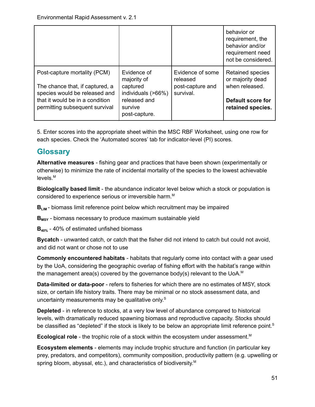|                                                                                                                                                                       |                                                                                                          |                                                               | behavior or<br>requirement, the<br>behavior and/or<br>requirement need<br>not be considered.                   |
|-----------------------------------------------------------------------------------------------------------------------------------------------------------------------|----------------------------------------------------------------------------------------------------------|---------------------------------------------------------------|----------------------------------------------------------------------------------------------------------------|
| Post-capture mortality (PCM)<br>The chance that, if captured, a<br>species would be released and<br>that it would be in a condition<br>permitting subsequent survival | Evidence of<br>majority of<br>captured<br>individuals (>66%)<br>released and<br>survive<br>post-capture. | Evidence of some<br>released<br>post-capture and<br>survival. | <b>Retained species</b><br>or majority dead<br>when released.<br><b>Default score for</b><br>retained species. |

5. Enter scores into the appropriate sheet within the MSC RBF Worksheet, using one row for each species. Check the 'Automated scores' tab for indicator-level (PI) scores.

### <span id="page-50-0"></span>**Glossary**

**Alternative measures** - fishing gear and practices that have been shown (experimentally or otherwise) to minimize the rate of incidental mortality of the species to the lowest achievable levels. M

**Biologically based limit** - the abundance indicator level below which a stock or population is considered to experience serious or irreversible harm. M

**B<sub>LIM</sub>** - biomass limit reference point below which recruitment may be impaired

**BMSY** - biomass necessary to produce maximum sustainable yield

**B40%** - 40% of estimated unfished biomass

**Bycatch** - unwanted catch, or catch that the fisher did not intend to catch but could not avoid, and did not want or chose not to use

**Commonly encountered habitats** - habitats that regularly come into contact with a gear used by the UoA, considering the geographic overlap of fishing effort with the habitat's range within the management area(s) covered by the governance body(s) relevant to the UoA. M

**Data-limited or data-poor** - refers to fisheries for which there are no estimates of MSY, stock size, or certain life history traits. There may be minimal or no stock assessment data, and uncertainty measurements may be qualitative only. $\textsuperscript{s}$ 

**Depleted** - in reference to stocks, at a very low level of abundance compared to historical levels, with dramatically reduced spawning biomass and reproductive capacity. Stocks should be classified as "depleted" if the stock is likely to be below an appropriate limit reference point.<sup>S</sup>

**Ecological role** - the trophic role of a stock within the ecosystem under assessment. M

**Ecosystem elements** - elements may include trophic structure and function (in particular key prey, predators, and competitors), community composition, productivity pattern (e.g. upwelling or spring bloom, abyssal, etc.), and characteristics of biodiversity.<sup>M</sup>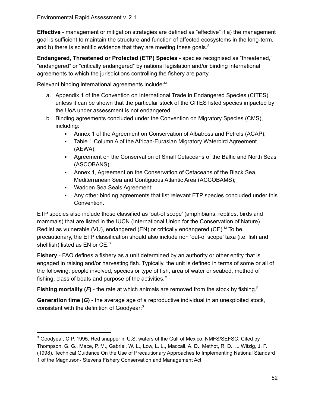**Effective** - management or mitigation strategies are defined as "effective" if a) the management goal is sufficient to maintain the structure and function of affected ecosystems in the long-term, and b) there is scientific evidence that they are meeting these goals.<sup>S</sup>

<span id="page-51-1"></span>**Endangered, Threatened or Protected (ETP) Species** - species recognised as "threatened," "endangered" or "critically endangered" by national legislation and/or binding international agreements to which the jurisdictions controlling the fishery are party.

Relevant binding international agreements include:<sup>M</sup>

- a. Appendix 1 of the Convention on International Trade in Endangered Species (CITES), unless it can be shown that the particular stock of the CITES listed species impacted by the UoA under assessment is not endangered.
- b. Binding agreements concluded under the Convention on Migratory Species (CMS), including:
	- Annex 1 of the Agreement on Conservation of Albatross and Petrels (ACAP);
	- **Table 1 Column A of the African-Eurasian Migratory Waterbird Agreement** (AEWA);
	- Agreement on the Conservation of Small Cetaceans of the Baltic and North Seas (ASCOBANS);
	- Annex 1, Agreement on the Conservation of Cetaceans of the Black Sea, Mediterranean Sea and Contiguous Atlantic Area (ACCOBAMS);
	- Wadden Sea Seals Agreement;
	- Any other binding agreements that list relevant ETP species concluded under this Convention.

ETP species also include those classified as 'out-of scope' (amphibians, reptiles, birds and mammals) that are listed in the IUCN (International Union for the Conservation of Nature) Redlist as vulnerable (VU), endangered (EN) or critically endangered (CE). <sup>M</sup> To be precautionary, the ETP classification should also include non 'out-of scope' taxa (i.e. fish and shellfish) listed as EN or CE.<sup>s</sup>

**Fishery** - FAO defines a fishery as a unit determined by an authority or other entity that is engaged in raising and/or harvesting fish. Typically, the unit is defined in terms of some or all of the following: people involved, species or type of fish, area of water or seabed, method of fishing, class of boats and purpose of the activities. M

**Fishing mortality (***F***)** - the rate at which animals are removed from the stock by fishing. F

<span id="page-51-0"></span>**Generation time (***G***)** - the average age of a reproductive individual in an unexploited stock, consistent with the definition of Goodyear: 3

<sup>&</sup>lt;sup>3</sup> Goodyear, C.P. 1995. Red snapper in U.S. waters of the Gulf of Mexico. NMFS/SEFSC. Cited by Thompson, G. G., Mace, P. M., Gabriel, W. L., Low, L. L., Maccall, A. D., Methot, R. D., ... Witzig, J. F. (1998). Technical Guidance On the Use of Precautionary Approaches to Implementing National Standard 1 of the Magnuson- Stevens Fishery Conservation and Management Act.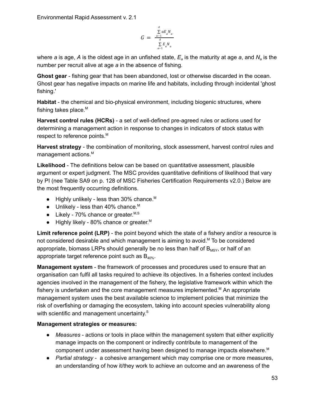$$
G = \frac{\sum\limits_{a=1}^A aE_a N_a}{\sum\limits_{a=1}^A E_a N_a}
$$

where *a* is age, *A* is the oldest age in an unfished state, *E<sup>a</sup>* is the maturity at age *a*, and *N<sup>a</sup>* is the number per recruit alive at age *a* in the absence of fishing.

**Ghost gear** - fishing gear that has been abandoned, lost or otherwise discarded in the ocean. Ghost gear has negative impacts on marine life and habitats, including through incidental 'ghost fishing.'

**Habitat** - the chemical and bio-physical environment, including biogenic structures, where fishing takes place.<sup>M</sup>

**Harvest control rules (HCRs)** - a set of well-defined pre-agreed rules or actions used for determining a management action in response to changes in indicators of stock status with respect to reference points.<sup>M</sup>

**Harvest strategy** - the combination of monitoring, stock assessment, harvest control rules and management actions.<sup>M</sup>

**Likelihood** - The definitions below can be based on quantitative assessment, plausible argument or expert judgment. The MSC provides quantitative definitions of likelihood that vary by PI (nee Table SA9 on p. 128 of MSC Fisheries Certification Requirements v2.0.) Below are the most frequently occurring definitions.

- $\bullet$  Highly unlikely less than 30% chance.<sup>M</sup>
- $\bullet$  Unlikely less than 40% chance.<sup>M</sup>
- Likely 70% chance or greater. M,  $S$
- $\bullet$  Highly likely 80% chance or greater.<sup>M</sup>

**Limit reference point (LRP)** - the point beyond which the state of a fishery and/or a resource is not considered desirable and which management is aiming to avoid.<sup>M</sup> To be considered appropriate, biomass LRPs should generally be no less than half of  $B_{MSY}$ , or half of an appropriate target reference point such as  $B_{40\%}$ .

**Management system** - the framework of processes and procedures used to ensure that an organisation can fulfil all tasks required to achieve its objectives. In a fisheries context includes agencies involved in the management of the fishery, the legislative framework within which the fishery is undertaken and the core management measures implemented.<sup>M</sup> An appropriate management system uses the best available science to implement policies that minimize the risk of overfishing or damaging the ecosystem, taking into account species vulnerability along with scientific and management uncertainty.<sup>S</sup>

#### **Management strategies or measures:**

- *Measures* actions or tools in place within the management system that either explicitly manage impacts on the component or indirectly contribute to management of the component under assessment having been designed to manage impacts elsewhere. M
- *Partial strategy* a cohesive arrangement which may comprise one or more measures, an understanding of how it/they work to achieve an outcome and an awareness of the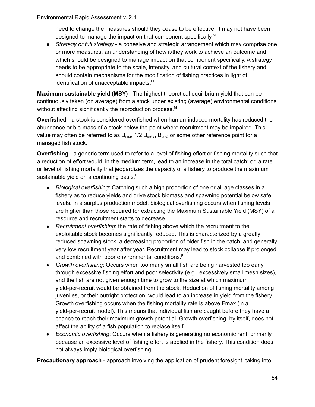need to change the measures should they cease to be effective. It may not have been designed to manage the impact on that component specifically. M

● *Strategy or full strategy* - a cohesive and strategic arrangement which may comprise one or more measures, an understanding of how it/they work to achieve an outcome and which should be designed to manage impact on that component specifically. A strategy needs to be appropriate to the scale, intensity, and cultural context of the fishery and should contain mechanisms for the modification of fishing practices in light of identification of unacceptable impacts.<sup>M</sup>

**Maximum sustainable yield (MSY)** - The highest theoretical equilibrium yield that can be continuously taken (on average) from a stock under existing (average) environmental conditions without affecting significantly the reproduction process.<sup>M</sup>

**Overfished** - a stock is considered overfished when human-induced mortality has reduced the abundance or bio-mass of a stock below the point where recruitment may be impaired. This value may often be referred to as  $B_{LIM}$ , 1/2  $B_{MSY}$ ,  $B_{20\%}$  or some other reference point for a managed fish stock.

**Overfishing** - a generic term used to refer to a level of fishing effort or fishing mortality such that a reduction of effort would, in the medium term, lead to an increase in the total catch; or, a rate or level of fishing mortality that jeopardizes the capacity of a fishery to produce the maximum sustainable yield on a continuing basis.<sup>F</sup>

- *Biological overfishing*: Catching such a high proportion of one or all age classes in a fishery as to reduce yields and drive stock biomass and spawning potential below safe levels. In a surplus production model, biological overfishing occurs when fishing levels are higher than those required for extracting the Maximum Sustainable Yield (MSY) of a resource and recruitment starts to decrease. F
- *Recruitment overfishing*: the rate of fishing above which the recruitment to the exploitable stock becomes significantly reduced. This is characterized by a greatly reduced spawning stock, a decreasing proportion of older fish in the catch, and generally very low recruitment year after year. Recruitment may lead to stock collapse if prolonged and combined with poor environmental conditions. F
- *Growth overfishing*: Occurs when too many small fish are being harvested too early through excessive fishing effort and poor selectivity (e.g., excessively small mesh sizes), and the fish are not given enough time to grow to the size at which maximum yield-per-recruit would be obtained from the stock. Reduction of fishing mortality among juveniles, or their outright protection, would lead to an increase in yield from the fishery. Growth overfishing occurs when the fishing mortality rate is above Fmax (in a yield-per-recruit model). This means that individual fish are caught before they have a chance to reach their maximum growth potential. Growth overfishing, by itself, does not affect the ability of a fish population to replace itself.<sup>F</sup>
- *Economic overfishing*: Occurs when a fishery is generating no economic rent, primarily because an excessive level of fishing effort is applied in the fishery. This condition does not always imply biological overfishing. F

<span id="page-53-0"></span>**Precautionary approach** - approach involving the application of prudent foresight, taking into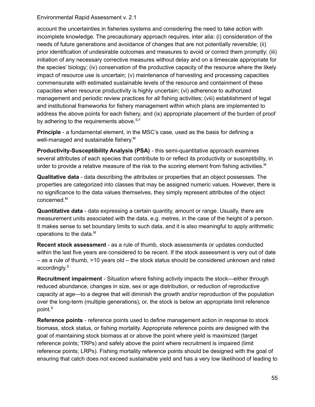account the uncertainties in fisheries systems and considering the need to take action with incomplete knowledge. The precautionary approach requires, inter alia: (i) consideration of the needs of future generations and avoidance of changes that are not potentially reversible; (ii) prior identification of undesirable outcomes and measures to avoid or correct them promptly; (iii) initiation of any necessary corrective measures without delay and on a timescale appropriate for the species' biology; (iv) conservation of the productive capacity of the resource where the likely impact of resource use is uncertain; (v) maintenance of harvesting and processing capacities commensurate with estimated sustainable levels of the resource and containment of these capacities when resource productivity is highly uncertain; (vi) adherence to authorized management and periodic review practices for all fishing activities; (viii) establishment of legal and institutional frameworks for fishery management within which plans are implemented to address the above points for each fishery, and (ix) appropriate placement of the burden of proof by adhering to the requirements above.<sup>S,F</sup>

**Principle** - a fundamental element, in the MSC's case, used as the basis for defining a well-managed and sustainable fishery.<sup>M</sup>

**Productivity-Susceptibility Analysis (PSA)** - this semi-quantitative approach examines several attributes of each species that contribute to or reflect its productivity or susceptibility, in order to provide a relative measure of the risk to the scoring element from fishing activities.<sup>M</sup>

**Qualitative data** - data describing the attributes or properties that an object possesses. The properties are categorized into classes that may be assigned numeric values. However, there is no significance to the data values themselves, they simply represent attributes of the object concerned. M

**Quantitative data** - data expressing a certain quantity, amount or range. Usually, there are measurement units associated with the data, e.g. metres, in the case of the height of a person. It makes sense to set boundary limits to such data, and it is also meaningful to apply arithmetic operations to the data.<sup>M</sup>

**Recent stock assessment** - as a rule of thumb, stock assessments or updates conducted within the last five years are considered to be recent. If the stock assessment is very out of date – as a rule of thumb, >10 years old – the stock status should be considered unknown and rated accordingly. S

**Recruitment impairment** - Situation where fishing activity impacts the stock—either through reduced abundance, changes in size, sex or age distribution, or reduction of reproductive capacity at age—to a degree that will diminish the growth and/or reproduction of the population over the long-term (multiple generations); or, the stock is below an appropriate limit reference point. S

**Reference points** - reference points used to define management action in response to stock biomass, stock status, or fishing mortality. Appropriate reference points are designed with the goal of maintaining stock biomass at or above the point where yield is maximized (target reference points; TRPs) and safely above the point where recruitment is impaired (limit reference points; LRPs). Fishing mortality reference points should be designed with the goal of ensuring that catch does not exceed sustainable yield and has a very low likelihood of leading to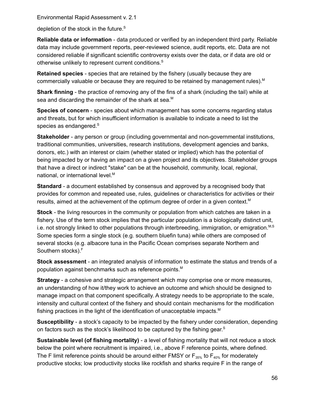depletion of the stock in the future.<sup>S</sup>

**Reliable data or information** - data produced or verified by an independent third party. Reliable data may include government reports, peer-reviewed science, audit reports, etc. Data are not considered reliable if significant scientific controversy exists over the data, or if data are old or otherwise unlikely to represent current conditions.<sup>S</sup>

**Retained species** - species that are retained by the fishery (usually because they are commercially valuable or because they are required to be retained by management rules). M

**Shark finning** - the practice of removing any of the fins of a shark (including the tail) while at sea and discarding the remainder of the shark at sea.<sup>M</sup>

**Species of concern** - species about which management has some concerns regarding status and threats, but for which insufficient information is available to indicate a need to list the species as endangered.<sup>§</sup>

**Stakeholder** - any person or group (including governmental and non-governmental institutions, traditional communities, universities, research institutions, development agencies and banks, donors, etc.) with an interest or claim (whether stated or implied) which has the potential of being impacted by or having an impact on a given project and its objectives. Stakeholder groups that have a direct or indirect "stake" can be at the household, community, local, regional, national, or international level.<sup>M</sup>

**Standard** - a document established by consensus and approved by a recognised body that provides for common and repeated use, rules, guidelines or characteristics for activities or their results, aimed at the achievement of the optimum degree of order in a given context. M

**Stock** - the living resources in the community or population from which catches are taken in a fishery. Use of the term stock implies that the particular population is a biologically distinct unit, i.e. not strongly linked to other populations through interbreeding, immigration, or emigration. $M, S$ Some species form a single stock (e.g. southern bluefin tuna) while others are composed of several stocks (e.g. albacore tuna in the Pacific Ocean comprises separate Northern and Southern stocks). F

**Stock assessment** - an integrated analysis of information to estimate the status and trends of a population against benchmarks such as reference points. M

**Strategy** - a cohesive and strategic arrangement which may comprise one or more measures, an understanding of how it/they work to achieve an outcome and which should be designed to manage impact on that component specifically. A strategy needs to be appropriate to the scale, intensity and cultural context of the fishery and should contain mechanisms for the modification fishing practices in the light of the identification of unacceptable impacts. M

**Susceptibility** - a stock's capacity to be impacted by the fishery under consideration, depending on factors such as the stock's likelihood to be captured by the fishing gear.<sup>s</sup>

**Sustainable level (of fishing mortality)** - a level of fishing mortality that will not reduce a stock below the point where recruitment is impaired, i.e., above F reference points, where defined. The F limit reference points should be around either FMSY or  $F_{35\%}$  to  $F_{40\%}$  for moderately productive stocks; low productivity stocks like rockfish and sharks require F in the range of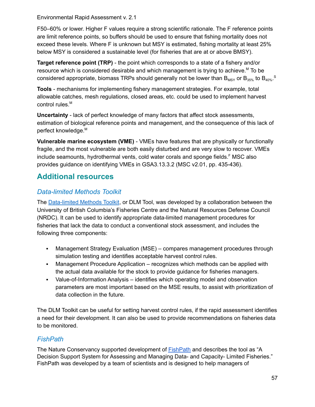F50–60% or lower. Higher F values require a strong scientific rationale. The F reference points are limit reference points, so buffers should be used to ensure that fishing mortality does not exceed these levels. Where F is unknown but MSY is estimated, fishing mortality at least 25% below MSY is considered a sustainable level (for fisheries that are at or above BMSY).

**Target reference point (TRP)** - the point which corresponds to a state of a fishery and/or resource which is considered desirable and which management is trying to achieve. <sup>M</sup> To be considered appropriate, biomass TRPs should generally not be lower than  $\mathsf{B}_{\textsf{MSY}}$  or  $\mathsf{B}_{\textsf{35\%}}$  to  $\mathsf{B}_{\textsf{40\%}}$ .<sup>s</sup>

**Tools** - mechanisms for implementing fishery management strategies. For example, total allowable catches, mesh regulations, closed areas, etc. could be used to implement harvest control rules. M

**Uncertainty** - lack of perfect knowledge of many factors that affect stock assessments, estimation of biological reference points and management, and the consequence of this lack of perfect knowledge. M

**Vulnerable marine ecosystem (VME)** - VMEs have features that are physically or functionally fragile, and the most vulnerable are both easily disturbed and are very slow to recover. VMEs include seamounts, hydrothermal vents, cold water corals and sponge fields. <sup>F</sup> MSC also provides guidance on identifying VMEs in GSA3.13.3.2 (MSC v2.01, pp. 435-436).

# <span id="page-56-0"></span>**Additional resources**

### <span id="page-56-1"></span>*Data-limited Methods Toolkit*

The [Data-limited](http://www.datalimitedtoolkit.org/) Methods Toolkit, or DLM Tool, was developed by a collaboration between the University of British Columbia's Fisheries Centre and the Natural Resources Defense Council (NRDC). It can be used to identify appropriate data-limited management procedures for fisheries that lack the data to conduct a conventional stock assessment, and includes the following three components:

- **Management Strategy Evaluation (MSE) compares management procedures through** simulation testing and identifies acceptable harvest control rules.
- Management Procedure Application recognizes which methods can be applied with the actual data available for the stock to provide guidance for fisheries managers.
- Value-of-Information Analysis identifies which operating model and observation parameters are most important based on the MSE results, to assist with prioritization of data collection in the future.

The DLM Toolkit can be useful for setting harvest control rules, if the rapid assessment identifies a need for their development. It can also be used to provide recommendations on fisheries data to be monitored.

### <span id="page-56-2"></span>*FishPath*

The Nature Conservancy supported development of [FishPath](https://www.fishpath.org/) and describes the tool as "A Decision Support System for Assessing and Managing Data- and Capacity- Limited Fisheries." FishPath was developed by a team of scientists and is designed to help managers of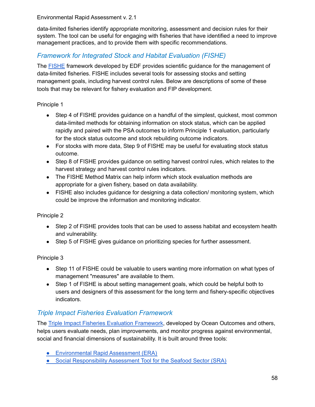data-limited fisheries identify appropriate monitoring, assessment and decision rules for their system. The tool can be useful for engaging with fisheries that have identified a need to improve management practices, and to provide them with specific recommendations.

### <span id="page-57-0"></span>*Framework for Integrated Stock and Habitat Evaluation (FISHE)*

The [FISHE](http://fishe.edf.org/) framework developed by EDF provides scientific guidance for the management of data-limited fisheries. FISHE includes several tools for assessing stocks and setting management goals, including harvest control rules. Below are descriptions of some of these tools that may be relevant for fishery evaluation and FIP development.

Principle 1

- Step 4 of FISHE provides guidance on a handful of the simplest, quickest, most common data-limited methods for obtaining information on stock status, which can be applied rapidly and paired with the PSA outcomes to inform Principle 1 evaluation, particularly for the stock status outcome and stock rebuilding outcome indicators.
- For stocks with more data, Step 9 of FISHE may be useful for evaluating stock status outcome.
- Step 8 of FISHE provides guidance on setting harvest control rules, which relates to the harvest strategy and harvest control rules indicators.
- The FISHE Method Matrix can help inform which stock evaluation methods are appropriate for a given fishery, based on data availability.
- FISHE also includes guidance for designing a data collection/ monitoring system, which could be improve the information and monitoring indicator.

#### Principle 2

- Step 2 of FISHE provides tools that can be used to assess habitat and ecosystem health and vulnerability.
- Step 5 of FISHE gives guidance on prioritizing species for further assessment.

#### Principle 3

- Step 11 of FISHE could be valuable to users wanting more information on what types of management "measures" are available to them.
- Step 1 of FISHE is about setting management goals, which could be helpful both to users and designers of this assessment for the long term and fishery-specific objectives indicators.

### <span id="page-57-1"></span>*Triple Impact Fisheries Evaluation Framework*

The Triple Impact Fisheries Evaluation [Framework](https://www.oceanoutcomes.org/what-we-do/triple-bottom-line-seafood/triple-impact-improvement/), developed by Ocean Outcomes and others, helps users evaluate needs, plan improvements, and monitor progress against environmental, social and financial dimensions of sustainability. It is built around three tools:

- **[Environmental](https://www.oceanoutcomes.org/what-we-do/triple-bottom-line-seafood/environmental-rapid-assessment) Rapid Assessment (ERA)**
- Social [Responsibility](https://www.oceanoutcomes.org/what-we-do/triple-bottom-line-seafood/social-rapid-assessment) Assessment Tool for the Seafood Sector (SRA)